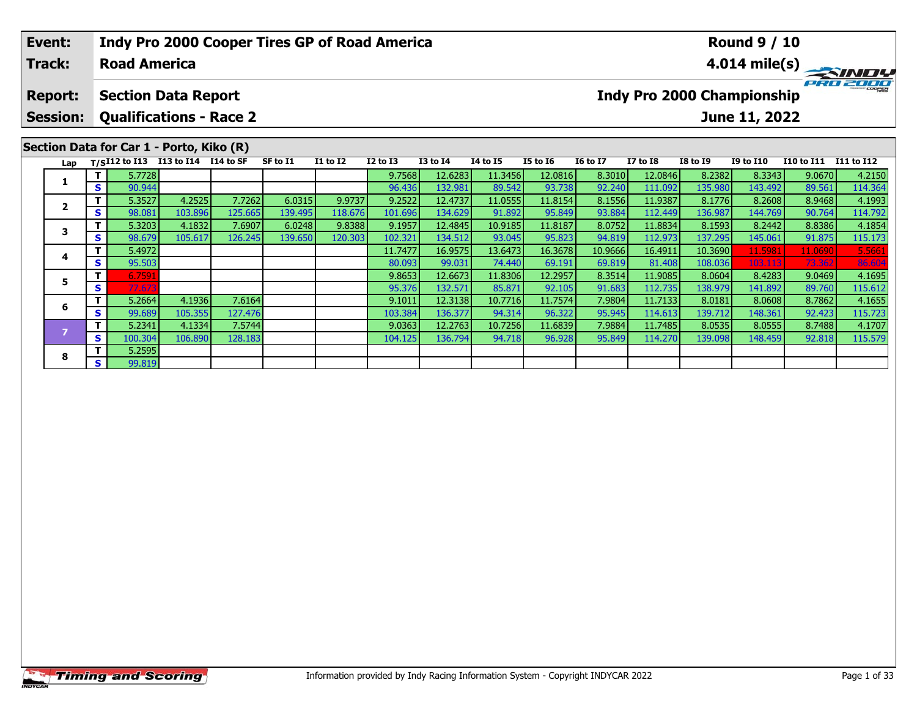### **Event:Round 9 / 10 Indy Pro 2000 Cooper Tires GP of Road America Track:Road America4.014 mile(s)** PRO 2000 **Report: Section Data Report Indy Pro 2000 Championship Session: Qualifications - Race 2 June 11, 2022 Section Data for Car 1 - Porto, Kiko (R) Lap T/SI12 to I13 I13 to I14 I14 to SF SF to I1 I1 to I2 I2 to I3 I3 to I4 I4 to I5 I5 to I6 I6 to I7 I7 to I8 I8 to I9 I9 to I10 I10 to I11 I11 to I12 <sup>T</sup>** 5.7728 9.7568 12.6283 11.3456 12.0816 8.3010 12.0846 8.2382 8.3343 9.0670 4.2150 **<sup>S</sup>** 90.944 96.436 132.981 89.542 93.738 92.240 111.092 135.980 143.492 89.561 114.364**1**2 | T | 5.3527| 4.2525| 7.7262| 6.0315| 9.9737| 9.2522| 12.4737| 11.0555| 11.8154| 8.1556| 11.9387| 8.1776| 8.2608| 8.9468| 4.1993<br>2 | S | 98.081 103.896 125.665 139.495 118.676 101.696 134.629 91.892 95.849 93.884 112.449 **2**114.792 3 T | 5.3203 4.1832 7.6907 6.0248 9.8388 9.1957 12.4845 10.9185 11.8187 8.0752 11.8834 8.1593 8.2442 8.8386 4.1854<br>S s 98.679 105.617 126.245 139.650 120.303 102.321 134.512 93.045 95.823 94.819 112.973 137.295 145.061 91. **3 <sup>T</sup>** 5.4972 11.7477 16.9575 13.6473 16.3678 10.9666 16.4911 10.3690 11.5981 11.0690 5.5661 **<sup>S</sup>** 95.503 80.093 99.031 74.440 69.191 69.819 81.408 108.036 103.113 73.362 86.604**4 <sup>T</sup>** 6.7591 9.8653 12.6673 11.8306 12.2957 8.3514 11.9085 8.0604 8.4283 9.0469 4.1695 **<sup>S</sup>** 77.673 95.376 132.571 85.871 92.105 91.683 112.735 138.979 141.892 89.760 115.612**5**

**<sup>T</sup>** 5.2664 4.1936 7.6164 9.1011 12.3138 10.7716 11.7574 7.9804 11.7133 8.0181 8.0608 8.7862 4.1655 **<sup>S</sup>** 99.689 105.355 127.476 103.384 136.377 94.314 96.322 95.945 114.613 139.712 148.361 92.423 115.723

**<sup>T</sup>** 5.2341 4.1334 7.5744 9.0363 12.2763 10.7256 11.6839 7.9884 11.7485 8.0535 8.0555 8.7488 4.1707 **<sup>S</sup>** 100.304 106.890 128.183 104.125 136.794 94.718 96.928 95.849 114.270 139.098 148.459 92.818 115.579

**6**

**8**

**<sup>T</sup>** 5.2595 **<sup>S</sup>** 99.819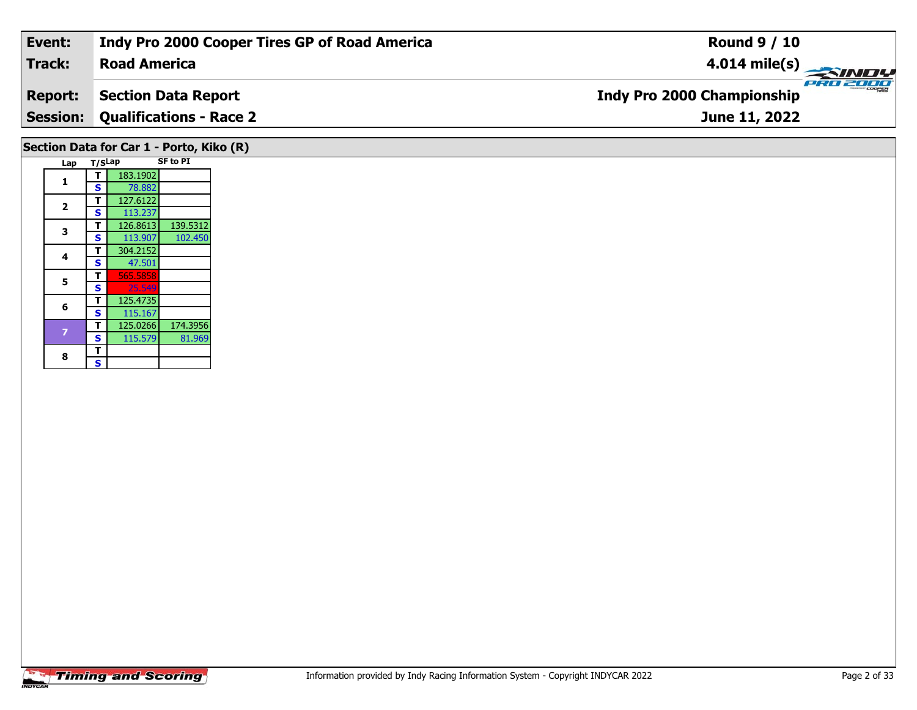| Event:                                   | Indy Pro 2000 Cooper Tires GP of Road America | <b>Round 9 / 10</b>                           |  |  |  |  |  |  |  |
|------------------------------------------|-----------------------------------------------|-----------------------------------------------|--|--|--|--|--|--|--|
| Track:                                   | <b>Road America</b>                           |                                               |  |  |  |  |  |  |  |
| <b>Report:</b>                           | <b>Section Data Report</b>                    | PRO 2000<br><b>Indy Pro 2000 Championship</b> |  |  |  |  |  |  |  |
|                                          | <b>Session: Qualifications - Race 2</b>       | June 11, 2022                                 |  |  |  |  |  |  |  |
| Section Data for Car 1 - Porto, Kiko (R) |                                               |                                               |  |  |  |  |  |  |  |

|  | Lap            | T/SLap |          | <b>SF to PI</b> |
|--|----------------|--------|----------|-----------------|
|  | 1              | т      | 183.1902 |                 |
|  |                | S      | 78.882   |                 |
|  | $\overline{2}$ | т      | 127.6122 |                 |
|  |                | S      | 113.237  |                 |
|  | 3              | т      | 126.8613 | 139.5312        |
|  |                | S      | 113.907  | 102.450         |
|  | 4              | т      | 304.2152 |                 |
|  |                | S      | 47.501   |                 |
|  | 5              | т      | 565.5858 |                 |
|  |                | S      | 25.549   |                 |
|  | 6              | т      | 125.4735 |                 |
|  |                | S      | 115.167  |                 |
|  |                | т      | 125.0266 | 174.3956        |
|  |                | S      | 115.579  | 81.969          |
|  | 8              | т      |          |                 |
|  |                | S      |          |                 |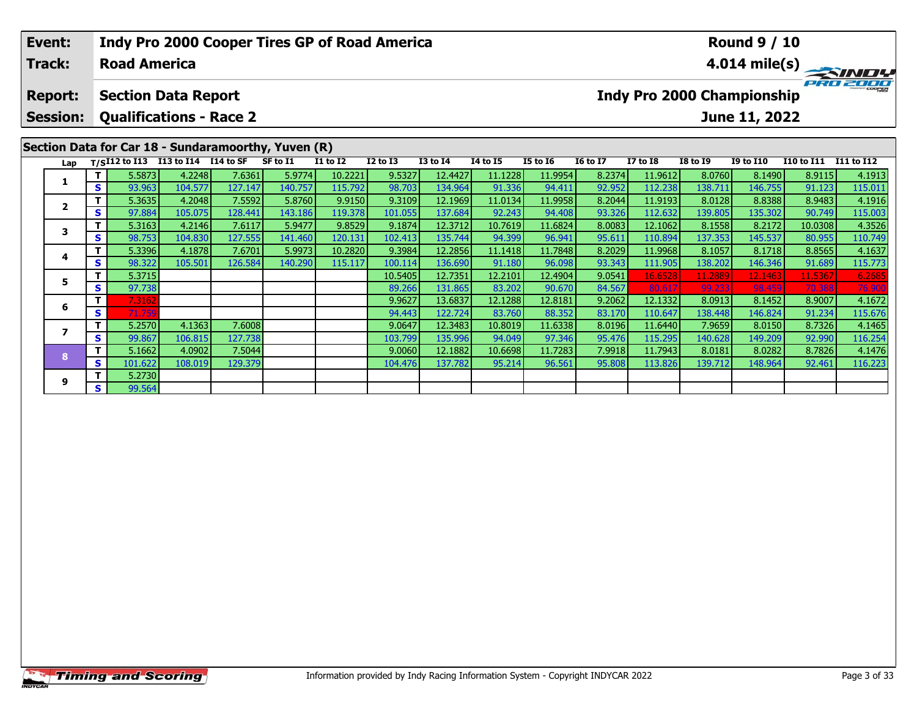|  | Event:<br>Track:        |    | <b>Road America</b>                |                   |                   | <b>Indy Pro 2000 Cooper Tires GP of Road America</b> |                   |                  | <b>Round 9 / 10</b><br>$4.014$ mile(s) |                   |                   |                  |                    |                   |                                   |                   |                   |
|--|-------------------------|----|------------------------------------|-------------------|-------------------|------------------------------------------------------|-------------------|------------------|----------------------------------------|-------------------|-------------------|------------------|--------------------|-------------------|-----------------------------------|-------------------|-------------------|
|  | <b>Report:</b>          |    | <b>Section Data Report</b>         |                   |                   |                                                      |                   |                  |                                        |                   |                   |                  |                    |                   | <b>Indy Pro 2000 Championship</b> |                   |                   |
|  | <b>Session:</b>         |    | <b>Qualifications - Race 2</b>     |                   |                   |                                                      |                   |                  |                                        |                   |                   |                  |                    |                   | June 11, 2022                     |                   |                   |
|  |                         |    |                                    |                   |                   | Section Data for Car 18 - Sundaramoorthy, Yuven (R)  |                   |                  |                                        |                   |                   |                  |                    |                   |                                   |                   |                   |
|  | Lap                     |    | T/SI12 to I13 I13 to I14 I14 to SF |                   |                   | SF to I1                                             | I1 to I2          | I2 to I3         | <b>I3 to I4</b>                        | <b>I4 to I5</b>   | <b>I5 to 16</b>   | <b>16 to 17</b>  | <b>I7 to I8</b>    | <b>I8 to I9</b>   | <b>I9 to I10</b>                  | <b>I10 to I11</b> | I11 to I12        |
|  | 1                       |    | 5.5873                             | 4.2248            | 7.6361            | 5.9774                                               | 10.2221           | 9.5327           | 12.4427                                | 11.1228           | 11.9954           | 8.2374           | 11.9612            | 8.0760            | 8.1490                            | 8.9115            | 4.1913            |
|  |                         | S  | 93.963<br>5.3635                   | 104.577<br>4.2048 | 127.147<br>7.5592 | 140.757<br>5.8760                                    | 115.792<br>9.9150 | 98.703<br>9.3109 | 134.964<br>12.1969                     | 91.336<br>11.0134 | 94.411<br>11.9958 | 92.952<br>8.2044 | 112.238<br>11.9193 | 138.711<br>8.0128 | 146.755<br>8.8388                 | 91.123<br>8.9483  | 115.011           |
|  | $\overline{\mathbf{2}}$ | S  | 97.884                             | 105.075           | 128.441           | 143.186                                              | 119.378           | 101.055          | 137.684                                | 92.243            | 94.408            | 93.326           | 112.632            | 139.805           | 135.302                           | 90.749            | 4.1916<br>115.003 |
|  |                         | T. | 5.3163                             | 4.2146            | 7.6117            | 5.9477                                               | 9.8529            | 9.1874           | 12.3712                                | 10.7619           | 11.6824           | 8.0083           | 12.1062            | 8.1558            | 8.2172                            | 10.0308           | 4.3526            |
|  | 3                       | S  | 98.753                             | 104.830           | 127.555           | 141.460                                              | 120.131           | 102.413          | 135.744                                | 94.399            | 96.941            | 95.611           | 110.894            | 137.353           | 145.537                           | 80.955            | 110.749           |
|  |                         |    | 5.3396                             | 4.1878            | 7.6701            | 5.9973                                               | 10.2820           | 9.3984           | 12.2856                                | 11.1418           | 11.7848           | 8.2029           | 11.9968            | 8.1057            | 8.1718                            | 8.8565            | 4.1637            |
|  | 4                       | S  | 98.322                             | 105.501           | 126.584           | 140.290                                              | 115.117           | 100.114          | 136.690                                | 91.180            | 96.098            | 93.343           | 111.905            | 138.202           | 146.346                           | 91.689            | 115.773           |
|  |                         | T. | 5.3715                             |                   |                   |                                                      |                   | 10.5405          | 12.7351                                | 12.2101           | 12.4904           | 9.0541           | 16.6528            | 11.2889           | 12.1463                           | 11.536            | 6.2685            |
|  | 5                       | S  | 97.738                             |                   |                   |                                                      |                   | 89.266           | 131.865                                | 83.202            | 90.670            | 84.567           | 80.61              | 99.233            | 98.459                            | 70.388            | 76.900            |
|  |                         | T. | 7.3162                             |                   |                   |                                                      |                   | 9.9627           | 13.6837                                | 12.1288           | 12.8181           | 9.2062           | 12.1332            | 8.0913            | 8.1452                            | 8.9007            | 4.1672            |
|  | 6                       | S. | 71.759                             |                   |                   |                                                      |                   | 94.443           | 122.724                                | 83.760            | 88.352            | 83.170           | 110.647            | 138.448           | 146.824                           | 91.234            | 115.676           |
|  | $\overline{ }$          |    | 5.2570                             | 4.1363            | 7.6008            |                                                      |                   | 9.0647           | 12.3483                                | 10.8019           | 11.6338           | 8.0196           | 11.6440            | 7.9659            | 8.0150                            | 8.7326            | 4.1465            |
|  |                         | S. | 99.867                             | 106.815           | 127.738           |                                                      |                   | 103.799          | 135.996                                | 94.049            | 97.346            | 95.476           | 115.295            | 140.628           | 149.209                           | 92.990            | 116.254           |

**<sup>T</sup>** 5.1662 4.0902 7.5044 9.0060 12.1882 10.6698 11.7283 7.9918 11.7943 8.0181 8.0282 8.7826 4.1476 **<sup>S</sup>** 101.622 108.019 129.379 104.476 137.782 95.214 96.561 95.808 113.826 139.712 148.964 92.461 116.223

**8**

**9**

**<sup>T</sup>** 5.2730 **<sup>S</sup>** 99.564

116.254<br>4.1476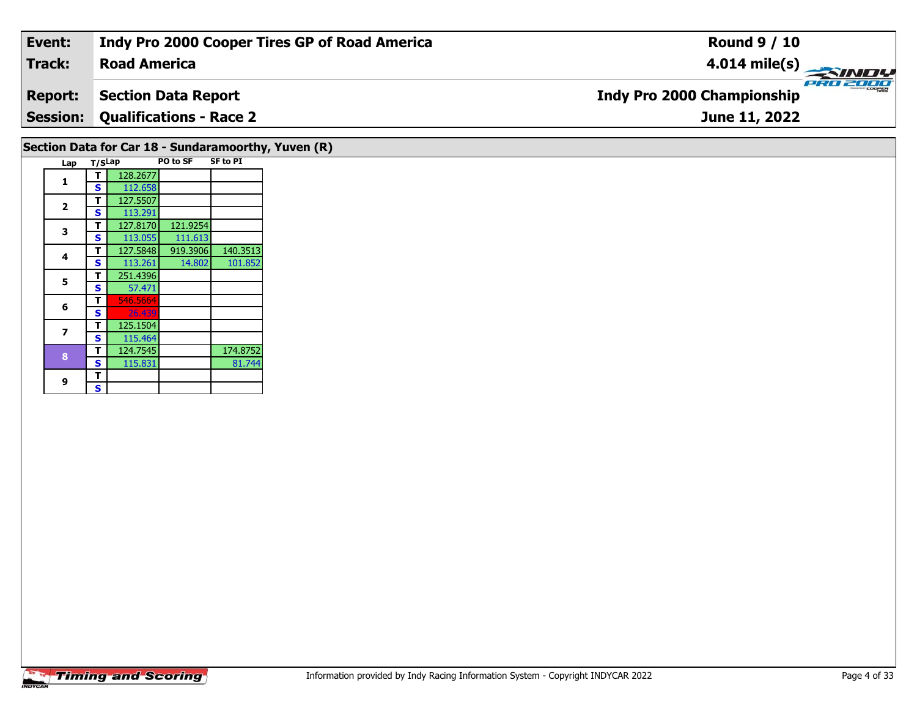| Event:                        |                 |                                |                             | Indy Pro 2000 Cooper Tires GP of Road America       | <b>Round 9 / 10</b>                                  |  |  |  |  |  |  |
|-------------------------------|-----------------|--------------------------------|-----------------------------|-----------------------------------------------------|------------------------------------------------------|--|--|--|--|--|--|
| Track:<br><b>Road America</b> |                 |                                |                             |                                                     | $4.014$ mile(s)<br>SINDY                             |  |  |  |  |  |  |
| <b>Report:</b>                |                 | <b>Section Data Report</b>     |                             |                                                     | <b>PRO 2000</b><br><b>Indy Pro 2000 Championship</b> |  |  |  |  |  |  |
|                               | <b>Session:</b> | <b>Qualifications - Race 2</b> |                             |                                                     | June 11, 2022                                        |  |  |  |  |  |  |
|                               |                 |                                |                             | Section Data for Car 18 - Sundaramoorthy, Yuven (R) |                                                      |  |  |  |  |  |  |
|                               | Lap             | T/SLap                         | PO to SF<br><b>SF to PI</b> |                                                     |                                                      |  |  |  |  |  |  |
|                               |                 | 128.2677<br>112.658<br>S.      |                             |                                                     |                                                      |  |  |  |  |  |  |

**2**

**3**

**4**

**5**

**6**

**7**

**8**

**9**9 <mark>「S</mark>

**<sup>T</sup>** 127.5507 **<sup>S</sup>** 113.291

**5 T** 251.4396<br>**S** 57.471

**T** 125.1504<br>**S** 115.464

**T** 546.5664<br>**S** 26.439

125.1504

**<sup>T</sup>** 127.8170 121.9254 **<sup>S</sup>** 113.055 111.613

**<sup>T</sup>** 127.5848 919.3906 140.3513 **<sup>S</sup>** 113.261 14.802 101.852

**T** 124.7545 174.8752<br> **S** 115.831 81.744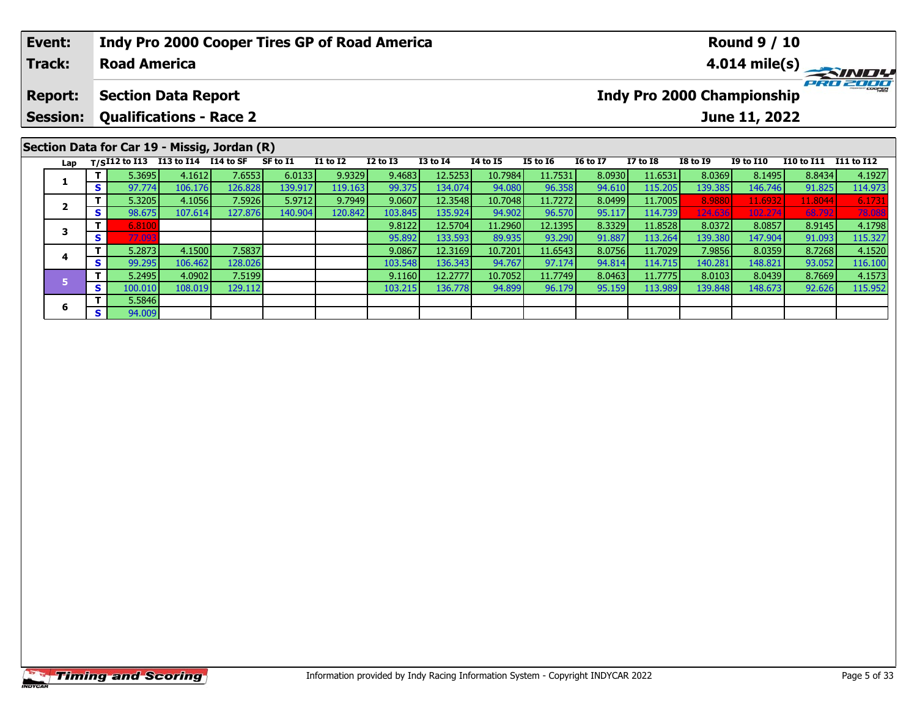| Event:<br><b>Indy Pro 2000 Cooper Tires GP of Road America</b><br>Track:<br><b>Road America</b> |                                                                                                                                                  |     |                                                    |         |         |          |                 |              |                 |                 | <b>Round 9 / 10</b><br>$4.014 \text{ mile(s)}$ |                 |                 |                 |                  |                   |                   |
|-------------------------------------------------------------------------------------------------|--------------------------------------------------------------------------------------------------------------------------------------------------|-----|----------------------------------------------------|---------|---------|----------|-----------------|--------------|-----------------|-----------------|------------------------------------------------|-----------------|-----------------|-----------------|------------------|-------------------|-------------------|
|                                                                                                 | Indy Pro 2000 Championship<br><b>Section Data Report</b><br><b>Report:</b><br><b>Qualifications - Race 2</b><br><b>Session:</b><br>June 11, 2022 |     |                                                    |         |         |          |                 |              |                 |                 |                                                |                 |                 |                 |                  |                   | PRO 2000          |
|                                                                                                 |                                                                                                                                                  |     |                                                    |         |         |          |                 |              |                 |                 |                                                |                 |                 |                 |                  |                   |                   |
|                                                                                                 | Section Data for Car 19 - Missig, Jordan (R)                                                                                                     |     |                                                    |         |         |          |                 |              |                 |                 |                                                |                 |                 |                 |                  |                   |                   |
|                                                                                                 |                                                                                                                                                  |     | Lap T/S <sup>I12</sup> to I13 I13 to I14 I14 to SF |         |         | SF to I1 | <b>I1 to I2</b> | $I2$ to $I3$ | <b>I3 to I4</b> | <b>I4 to I5</b> | <b>I5 to 16</b>                                | <b>16 to 17</b> | <b>I7 to I8</b> | <b>I8 to I9</b> | <b>I9 to I10</b> | <b>I10 to I11</b> | <b>I11 to I12</b> |
|                                                                                                 |                                                                                                                                                  |     | 5.3695                                             | 4.1612  | 7.6553  | 6.0133   | 9.9329          | 9.4683       | 12.5253         | 10.7984         | 11.7531                                        | 8.0930          | 11.6531         | 8.0369          | 8.1495           | 8.8434            | 4.1927            |
|                                                                                                 | х                                                                                                                                                | s l | 97.774                                             | 106.176 | 126.828 | 139.917  | 119.163         | 99.375       | 134.074         | 94.080          | 96.358                                         | 94.610          | 115.205         | 139.385         | 146.746          | 91.825            | 114.973           |
|                                                                                                 | $\overline{2}$                                                                                                                                   |     | 5.3205                                             | 4.1056  | 7.5926  | 5.9712   | 9.7949          | 9.0607       | 12.3548         | 10.7048         | 11.7272                                        | 8.0499          | 11.7005         | 8.9880          | 11.6932          | 11.8044           | 6.1731            |
|                                                                                                 |                                                                                                                                                  | s l | 98.675                                             | 107.614 | 127.876 | 140.904  | 120.842         | 103.845      | 135.924         | 94.902          | 96.570                                         | 95.117          | 114.739         | 124.636         | 102.274          | 68.792            | 78.08             |
|                                                                                                 |                                                                                                                                                  |     | 6.8100                                             |         |         |          |                 | 9.8122       | 12.5704         | 11.2960         | 12.1395                                        | 8.3329          | 11.8528         | 8.0372          | 8.0857           | 8.9145            | 4.1798            |
|                                                                                                 | 3                                                                                                                                                | S.  | 77.093                                             |         |         |          |                 | 95.892       | 133.593         | 89.935          | 93.290                                         | 91.887          | 113.264         | 139.380         | 147.904          | 91.093            | 115.327           |
|                                                                                                 |                                                                                                                                                  |     | 5.2873                                             | 4.1500  | 7.5837  |          |                 | 9.0867       | 12.3169         | 10.7201         | 11.6543                                        | 8.0756          | 11.7029         | 7.9856          | 8.0359           | 8.7268            | 4.1520            |

**<sup>T</sup>** 5.2873 4.1500 7.5837 9.0867 12.3169 10.7201 11.6543 8.0756 11.7029 7.9856 8.0359 8.7268 4.1520 **<sup>S</sup>** 99.295 106.462 128.026 103.548 136.343 94.767 97.174 94.814 114.715 140.281 148.821 93.052 116.100

**<sup>T</sup>** 5.2495 4.0902 7.5199 9.1160 12.2777 10.7052 11.7749 8.0463 11.7775 8.0103 8.0439 8.7669 4.1573 **<sup>S</sup>** 100.010 108.019 129.112 103.215 136.778 94.899 96.179 95.159 113.989 139.848 148.673 92.626 115.952

**4**

**6**

**<sup>T</sup>** 5.5846 **<sup>S</sup>** 94.009

116.100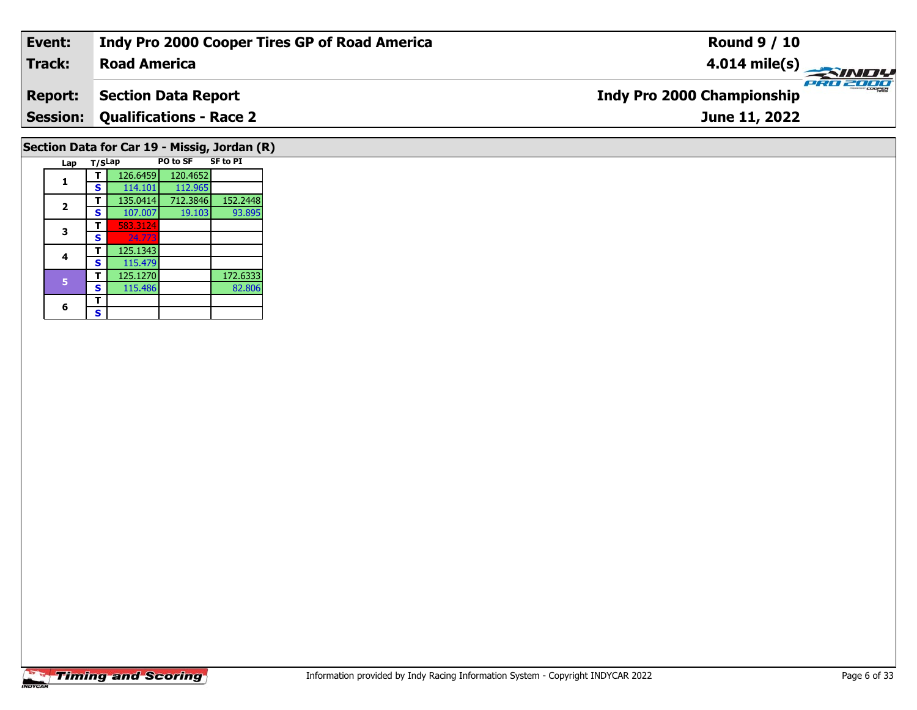| Event:          | <b>Indy Pro 2000 Cooper Tires GP of Road America</b> | <b>Round 9 / 10</b>                      |
|-----------------|------------------------------------------------------|------------------------------------------|
| Track:          | <b>Road America</b>                                  | $\frac{4.014 \text{ mile(s)}}{P_{R0}^2}$ |
| Report:         | <b>Section Data Report</b>                           | <b>Indy Pro 2000 Championship</b>        |
| <b>Session:</b> | <b>Qualifications - Race 2</b>                       | June 11, 2022                            |
|                 | Section Data for Car 19 - Missig, Jordan (R)         |                                          |

**Lap T/SLap PO to SF SF to PI** 

**<sup>T</sup>** 126.6459 120.4652 **<sup>S</sup>** 114.101 112.965

**T** 583.312

115.479

**<sup>T</sup>** 125.1343 **<sup>S</sup>** 115.479

**T** 135.0414 712.3846 152.2448

**T** 125.1270 172.6333<br> **S** 115.486 82.806

93.895

82.806

**1**

**2**

**3**

**4**

6  $\frac{1}{s}$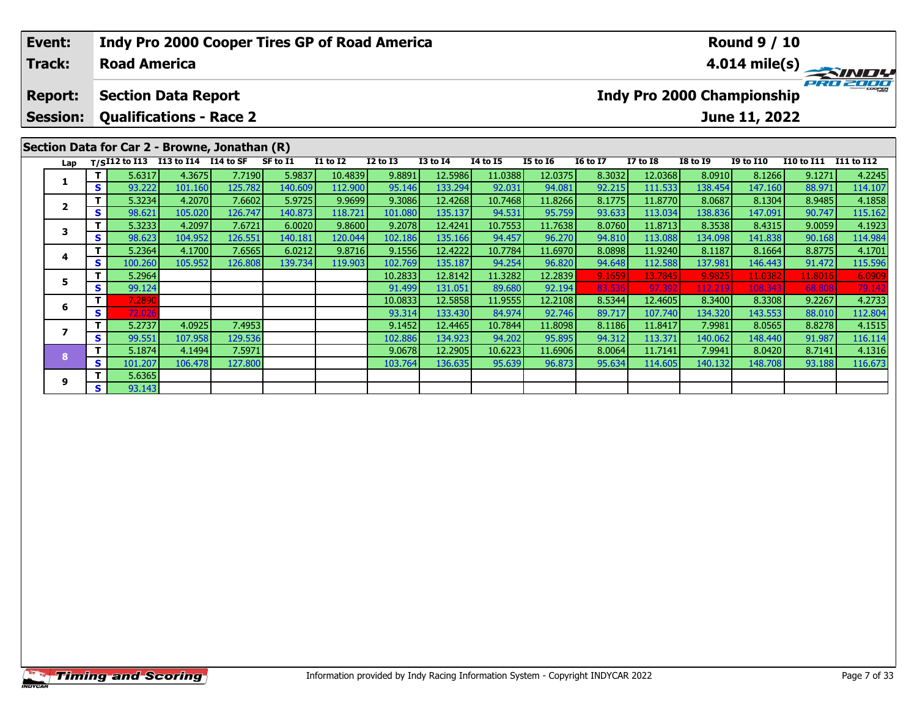|                                                                    | Indy Pro 2000 Cooper Tires GP of Road America<br>Event:<br><b>Track:</b><br><b>Road America</b> |    |               |                      |         |          |                 |                 |                 |                                             | <b>Round 9 / 10</b><br>$4.014 \text{ mile(s)}$ |                 |                 |                 |                  |                   |            |
|--------------------------------------------------------------------|-------------------------------------------------------------------------------------------------|----|---------------|----------------------|---------|----------|-----------------|-----------------|-----------------|---------------------------------------------|------------------------------------------------|-----------------|-----------------|-----------------|------------------|-------------------|------------|
|                                                                    | <b>Section Data Report</b><br><b>Report:</b>                                                    |    |               |                      |         |          |                 |                 |                 | PRO 20<br><b>Indy Pro 2000 Championship</b> |                                                |                 |                 |                 |                  |                   |            |
| <b>Qualifications - Race 2</b><br><b>Session:</b><br>June 11, 2022 |                                                                                                 |    |               |                      |         |          |                 |                 |                 |                                             |                                                |                 |                 |                 |                  |                   |            |
| Section Data for Car 2 - Browne, Jonathan (R)                      |                                                                                                 |    |               |                      |         |          |                 |                 |                 |                                             |                                                |                 |                 |                 |                  |                   |            |
|                                                                    | Lap                                                                                             |    | T/SI12 to I13 | I13 to I14 I14 to SF |         | SF to I1 | <b>I1 to I2</b> | <b>I2 to I3</b> | <b>I3 to I4</b> | <b>I4 to I5</b>                             | <b>I5 to 16</b>                                | <b>16 to 17</b> | <b>I7 to I8</b> | <b>I8 to I9</b> | <b>I9 to I10</b> | <b>I10 to I11</b> | I11 to I12 |
|                                                                    | 1                                                                                               |    | 5.6317        | 4.3675               | 7.7190  | 5.9837   | 10.4839         | 9.8891          | 12.5986         | 11.0388                                     | 12.0375                                        | 8.3032          | 12.0368         | 8.0910          | 8.1266           | 9.1271            | 4.2245     |
|                                                                    |                                                                                                 | S  | 93.222        | 101.160              | 125.782 | 140.609  | 112.900         | 95.146          | 133.294         | 92.031                                      | 94.081                                         | 92.215          | 111.533         | 138.454         | 147.160          | 88.971            | 114.107    |
|                                                                    | $\overline{\mathbf{2}}$                                                                         |    | 5.3234        | 4.2070               | 7.6602  | 5.9725   | 9.9699          | 9.3086          | 12.4268         | 10.7468                                     | 11.8266                                        | 8.1775          | 11.8770         | 8.0687          | 8.1304           | 8.9485            | 4.1858     |
|                                                                    |                                                                                                 | S  | 98.621        | 105.020              | 126.747 | 140.873  | 118.721         | 101.080         | 135.137         | 94.531                                      | 95.759                                         | 93.633          | 113.034         | 138.836         | 147.091          | 90.747            | 115.162    |
|                                                                    | 3                                                                                               |    | 5.3233        | 4.2097               | 7.6721  | 6.0020   | 9.8600          | 9.2078          | 12.4241         | 10.7553                                     | 11.7638                                        | 8.0760          | 11.8713         | 8.3538          | 8.4315           | 9.0059            | 4.1923     |
|                                                                    |                                                                                                 | S. | 98.623        | 104.952              | 126.551 | 140.181  | 120.044         | 102.186         | 135.166         | 94.457                                      | 96.270                                         | 94.810          | 113.088         | 134.098         | 141.838          | 90.168            | 114.984    |
|                                                                    | 4                                                                                               |    | 5.2364        | 4.1700               | 7.6565  | 6.0212   | 9.8716          | 9.1556          | 12.4222         | 10.7784                                     | 11.6970                                        | 8.0898          | 11.9240         | 8.1187          | 8.1664           | 8.8775            | 4.1701     |
|                                                                    |                                                                                                 | S. | 100.260       | 105.952              | 126.808 | 139.734  | 119.903         | 102.769         | 135.187         | 94.254                                      | 96.820                                         | 94.648          | 112.588         | 137.981         | 146.443          | 91.472            | 115.596    |
|                                                                    | 5                                                                                               |    | 5.2964        |                      |         |          |                 | 10.2833         | 12.8142         | 11.3282                                     | 12.2839                                        | 9.1659          | 13.7845         | 9.9825          | 11.0382          | 11.8016           | 6.0909     |
|                                                                    |                                                                                                 | S. | 99.124        |                      |         |          |                 | 91.499          | 131.051         | 89.680                                      | 92.194                                         | 83.536          | 97.392          | 112.219         | 108.343          | 68.808            | 79.142     |
|                                                                    | 6                                                                                               |    | 7.2890        |                      |         |          |                 | 10.0833         | 12.5858         | 11.9555                                     | 12.2108                                        | 8.5344          | 12.4605         | 8.3400          | 8.3308           | 9.2267            | 4.2733     |
|                                                                    |                                                                                                 | S. | 72.026        |                      |         |          |                 | 93.314          | 133.430         | 84.974                                      | 92.746                                         | 89.717          | 107.740         | 134.320         | 143.553          | 88.010            | 112.804    |

**<sup>T</sup>** 5.2737 4.0925 7.4953 9.1452 12.4465 10.7844 11.8098 8.1186 11.8417 7.9981 8.0565 8.8278 4.1515 **<sup>S</sup>** 99.551 107.958 129.536 102.886 134.923 94.202 95.895 94.312 113.371 140.062 148.440 91.987 116.114

**<sup>T</sup>** 5.1874 4.1494 7.5971 9.0678 12.2905 10.6223 11.6906 8.0064 11.7141 7.9941 8.0420 8.7141 4.1316 **<sup>S</sup>** 101.207 106.478 127.800 103.764 136.635 95.639 96.873 95.634 114.605 140.132 148.708 93.188 116.673

**7**

**8**

**9**

**<sup>T</sup>** 5.6365 **<sup>S</sup>** 93.143

 $\frac{116.114}{4.1316}$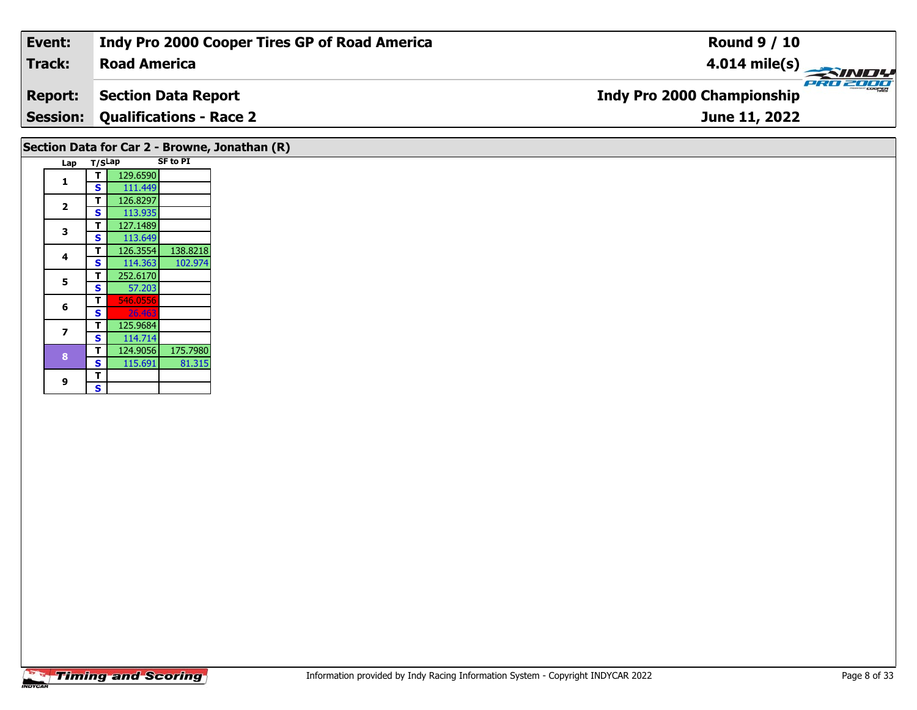| Event:         | Indy Pro 2000 Cooper Tires GP of Road America | <b>Round 9 / 10</b>                           |
|----------------|-----------------------------------------------|-----------------------------------------------|
| Track:         | <b>Road America</b>                           | 4.014 mile(s) $\rightarrow$                   |
| <b>Report:</b> | <b>Section Data Report</b>                    | PRO 2000<br><b>Indy Pro 2000 Championship</b> |
|                | <b>Session: Qualifications - Race 2</b>       | June 11, 2022                                 |
|                | Section Data for Car 2 - Browne, Jonathan (R) |                                               |

|  | Lap | T/SLap |          | <b>SF to PI</b> |
|--|-----|--------|----------|-----------------|
|  | 1   | т      | 129.6590 |                 |
|  |     | S      | 111.449  |                 |
|  |     | т      | 126.8297 |                 |
|  | 2   | S      | 113.935  |                 |
|  | 3   | T      | 127.1489 |                 |
|  |     | S      | 113.649  |                 |
|  | 4   | т      | 126.3554 | 138.8218        |
|  |     | S      | 114.363  | 102.974         |
|  | 5   | т      | 252.6170 |                 |
|  |     | S      | 57.203   |                 |
|  | 6   | т      | 546.0556 |                 |
|  |     | S      | 26.463   |                 |
|  | 7   | т      | 125.9684 |                 |
|  |     | S      | 114.714  |                 |
|  | 8   | T      | 124.9056 | 175.7980        |
|  |     | S      | 115.691  | 81.315          |
|  | 9   | Т      |          |                 |
|  |     | Ś      |          |                 |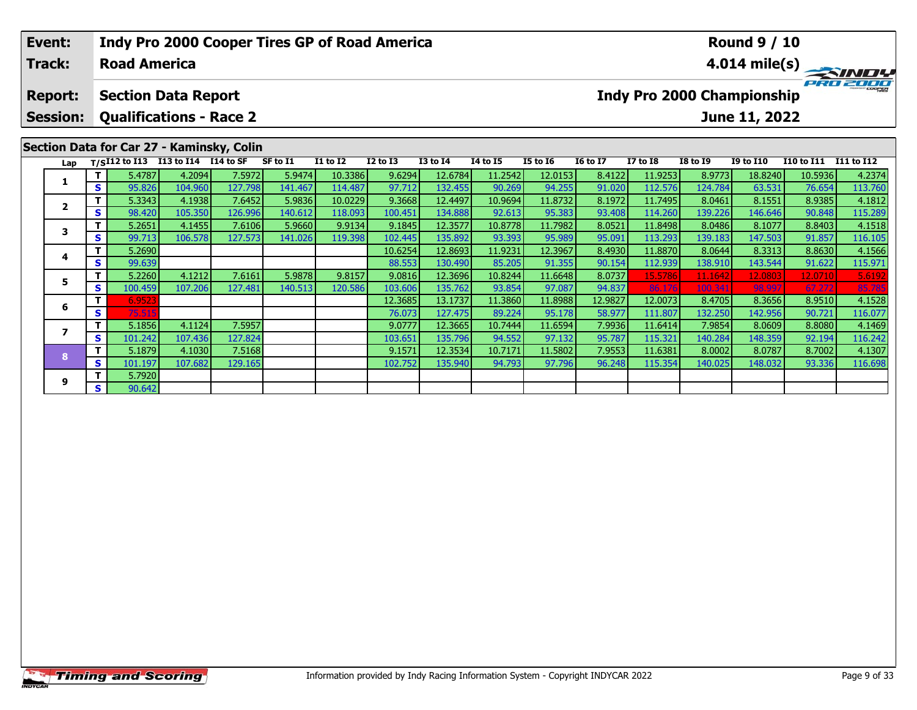|                                                                    | <b>Event:</b><br><b>Track:</b> |         | <b>Road America</b> |                            |                                           | <b>Indy Pro 2000 Cooper Tires GP of Road America</b> |                 |                 |                  | <b>Round 9 / 10</b> | $4.014 \text{ mile(s)}$ |                 |                 |                                   |                  |                   |            |
|--------------------------------------------------------------------|--------------------------------|---------|---------------------|----------------------------|-------------------------------------------|------------------------------------------------------|-----------------|-----------------|------------------|---------------------|-------------------------|-----------------|-----------------|-----------------------------------|------------------|-------------------|------------|
|                                                                    | <b>Report:</b>                 |         |                     | <b>Section Data Report</b> |                                           |                                                      |                 |                 |                  |                     |                         |                 |                 | <b>Indy Pro 2000 Championship</b> |                  |                   |            |
| <b>Qualifications - Race 2</b><br><b>Session:</b><br>June 11, 2022 |                                |         |                     |                            |                                           |                                                      |                 |                 |                  |                     |                         |                 |                 |                                   |                  |                   |            |
|                                                                    |                                |         |                     |                            | Section Data for Car 27 - Kaminsky, Colin |                                                      |                 |                 |                  |                     |                         |                 |                 |                                   |                  |                   |            |
|                                                                    | Lap                            |         | $T/SI12$ to $I13$   | I13 to I14 I14 to SF       |                                           | SF to I1                                             | <b>I1 to I2</b> | <b>I2 to I3</b> | <b>I3 to I4</b>  | <b>14 to 15</b>     | <b>I5 to 16</b>         | <b>16 to 17</b> | <b>I7 to I8</b> | <b>I8 to I9</b>                   | <b>I9 to I10</b> | <b>I10 to I11</b> | I11 to I12 |
|                                                                    |                                |         | 5.4787              | 4.2094                     | 7.5972                                    | 5.9474                                               | 10.3386         | 9.6294          | 12.6784          | 11.2542             | 12.0153                 | 8.4122          | 11.9253         | 8.9773                            | 18.8240          | 10.5936           | 4.2374     |
| 1<br>S.                                                            |                                | 95.826  | 104.960             | 127.798                    | 141.467                                   | 114.487                                              | 97.712          | 132.455         | 90.269           | 94.255              | 91.020                  | 112.576         | 124.784         | 63.531                            | 76.654           | 113.760           |            |
|                                                                    | $\overline{\mathbf{2}}$        |         | 5.3343              | 4.1938                     | 7.6452                                    | 5.9836                                               | 10.0229         | 9.3668          | 12.4497          | 10.9694             | 11.8732                 | 8.1972          | 11.7495         | 8.0461                            | 8.1551           | 8.9385            | 4.1812     |
|                                                                    |                                | S       | 98.420              | 105.350                    | 126.996                                   | 140.612                                              | 118.093         | 100.451         | 134.888          | 92.613              | 95.383                  | 93.408          | 114.260         | 139.226                           | 146.646          | 90.848            | 115.289    |
|                                                                    | 3                              |         | 5.2651              | 4.1455                     | 7.6106                                    | 5.9660                                               | 9.9134          | 9.1845          | 12.3577          | 10.8778             | 11.7982                 | 8.0521          | 11.8498         | 8.0486                            | 8.1077           | 8.8403            | 4.1518     |
|                                                                    |                                | S.      | 99.713              | 106.578                    | 127.573                                   | 141.026                                              | 119.398         | 102.445         | 135.892          | 93.393              | 95.989                  | 95.091          | 113.293         | 139.183                           | 147.503          | 91.857            | 116.105    |
|                                                                    | 4                              |         | 5.2690              |                            |                                           |                                                      |                 | 10.6254         | 12.8693          | 11.9231             | 12.3967                 | 8.4930          | 11.8870         | 8.0644                            | 8.3313           | 8.8630            | 4.1566     |
|                                                                    |                                | S.      | 99.639              |                            |                                           |                                                      |                 | 88.553          | 130.490          | 85.205              | 91.355                  | 90.154          | 112.939         | 138.910                           | 143.544          | 91.622            | 115.971    |
|                                                                    |                                |         | 5.2260              | 4.1212                     | 7.6161                                    | 5.9878                                               | 9.8157          | 9.0816          | 12.3696          | 10.8244             | 11.6648                 | 8.0737          | 15.5786         | 11.1642                           | 12.0803          | 12.0710           | 5.6192     |
| 5<br>S                                                             | 100.459                        | 107.206 | 127.481             | 140.513                    | 120.586                                   | 103.606                                              | 135.762         | 93.854          | 97.087           | 94.837              | 86.176                  | 100.341         | 98.997          | 67.272                            | 85.785           |                   |            |
|                                                                    | 6.9523                         |         |                     |                            |                                           | 12.3685                                              | 13.1737         | 11.3860         | 11.8988          | 12.9827             | 12.0073                 | 8.4705          | 8.3656          | 8.9510                            | 4.1528           |                   |            |
|                                                                    | 6                              | S.      | 75.515              |                            |                                           |                                                      |                 | 76.073          | 127.475 <b>I</b> | 89.224              | 95.178                  | 58.9771         | 111.807         | 132.2501                          | 142.956          | 90.721            | 116.077    |

**<sup>T</sup>** 5.1856 4.1124 7.5957 9.0777 12.3665 10.7444 11.6594 7.9936 11.6414 7.9854 8.0609 8.8080 4.1469 **<sup>S</sup>** 101.242 107.436 127.824 103.651 135.796 94.552 97.132 95.787 115.321 140.284 148.359 92.194 116.242

**<sup>T</sup>** 5.1879 4.1030 7.5168 9.1571 12.3534 10.7171 11.5802 7.9553 11.6381 8.0002 8.0787 8.7002 4.1307 **<sup>S</sup>** 101.197 107.682 129.165 102.752 135.940 94.793 97.796 96.248 115.354 140.025 148.032 93.336 116.698

**7**

**8**

**9**

**<sup>T</sup>** 5.7920 **<sup>S</sup>** 90.642

116.242<br>4.1307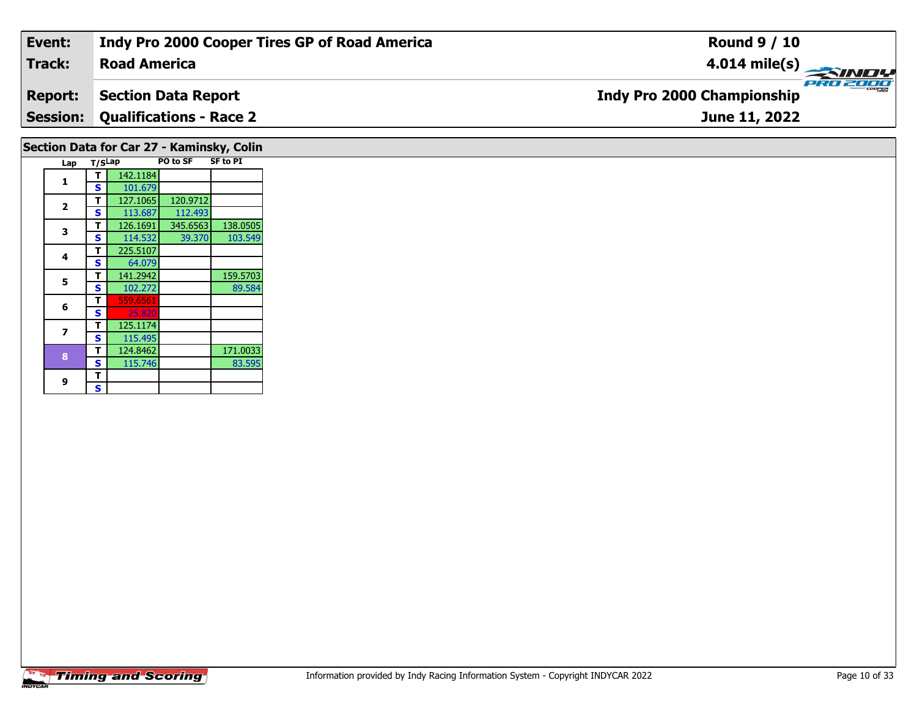| Event:         | Indy Pro 2000 Cooper Tires GP of Road America | <b>Round 9 / 10</b>                           |
|----------------|-----------------------------------------------|-----------------------------------------------|
| Track:         | <b>Road America</b>                           |                                               |
| <b>Report:</b> | Section Data Report                           | PRO 2000<br><b>Indy Pro 2000 Championship</b> |
|                | <b>Session: Qualifications - Race 2</b>       | June 11, 2022                                 |
|                |                                               |                                               |

| Section Data for Car 27 - Kaminsky, Colin |                         |        |          |          |                 |  |  |  |  |  |
|-------------------------------------------|-------------------------|--------|----------|----------|-----------------|--|--|--|--|--|
|                                           | Lap                     | T/SLap |          | PO to SF | <b>SF to PI</b> |  |  |  |  |  |
|                                           | 1                       | т      | 142.1184 |          |                 |  |  |  |  |  |
|                                           |                         | S      | 101.679  |          |                 |  |  |  |  |  |
|                                           | $\overline{\mathbf{z}}$ | т      | 127.1065 | 120.9712 |                 |  |  |  |  |  |
|                                           |                         | S      | 113.687  | 112.493  |                 |  |  |  |  |  |
|                                           | 3                       | т      | 126.1691 | 345.6563 | 138.0505        |  |  |  |  |  |
|                                           |                         | S      | 114.532  | 39.370   | 103.549         |  |  |  |  |  |
|                                           | 4                       | т      | 225.5107 |          |                 |  |  |  |  |  |
|                                           |                         | S      | 64.079   |          |                 |  |  |  |  |  |
|                                           | 5                       | т      | 141.2942 |          | 159.5703        |  |  |  |  |  |
|                                           |                         | S      | 102.272  |          | 89.584          |  |  |  |  |  |
|                                           | 6                       | т      | 559.6561 |          |                 |  |  |  |  |  |
|                                           |                         | S      | 25.820   |          |                 |  |  |  |  |  |
|                                           | 7                       | т      | 125.1174 |          |                 |  |  |  |  |  |
|                                           |                         | S      | 115.495  |          |                 |  |  |  |  |  |
|                                           | 8                       | т      | 124.8462 |          | 171.0033        |  |  |  |  |  |
|                                           |                         | S      | 115.746  |          | 83.595          |  |  |  |  |  |
|                                           | 9                       | т      |          |          |                 |  |  |  |  |  |
|                                           |                         | S      |          |          |                 |  |  |  |  |  |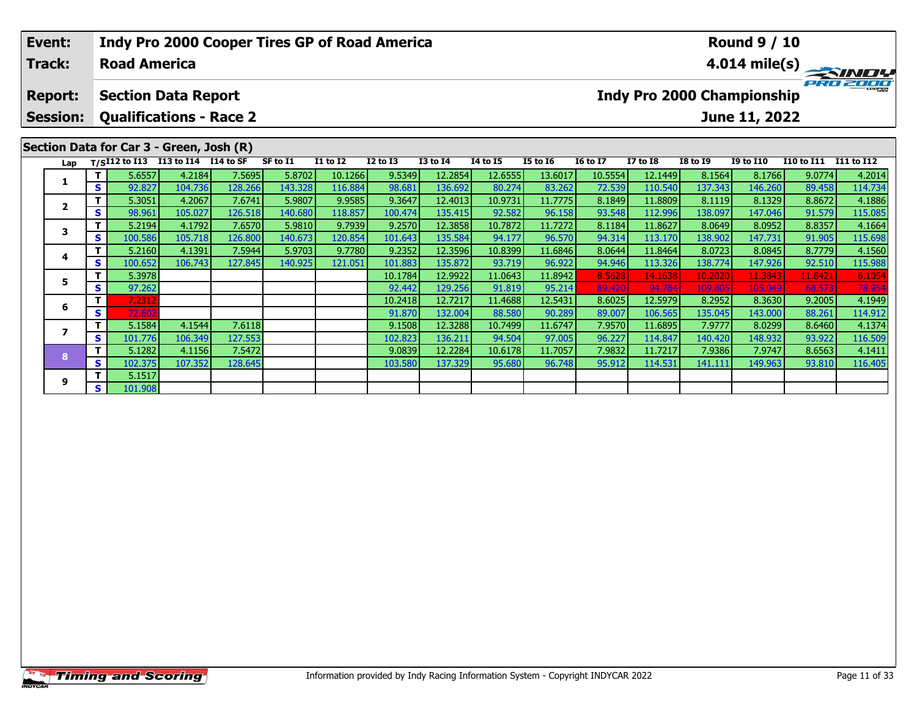|                                              | Indy Pro 2000 Cooper Tires GP of Road America<br>Event:<br><b>Road America</b><br><b>Track:</b> |     |                                                                                |         |         |          |                 |                 |                                   |                 |                 | <b>Round 9 / 10</b><br>$\frac{4.014 \text{ mile(s)}}{PRT}$ |                 |                 |                  |                   |            |
|----------------------------------------------|-------------------------------------------------------------------------------------------------|-----|--------------------------------------------------------------------------------|---------|---------|----------|-----------------|-----------------|-----------------------------------|-----------------|-----------------|------------------------------------------------------------|-----------------|-----------------|------------------|-------------------|------------|
| <b>Section Data Report</b><br><b>Report:</b> |                                                                                                 |     |                                                                                |         |         |          |                 |                 | <b>Indy Pro 2000 Championship</b> |                 |                 |                                                            |                 |                 |                  |                   |            |
|                                              | <b>Session:</b>                                                                                 |     | <b>Qualifications - Race 2</b>                                                 |         |         |          |                 |                 |                                   |                 |                 |                                                            |                 |                 | June 11, 2022    |                   |            |
|                                              | Lap                                                                                             |     | Section Data for Car 3 - Green, Josh (R)<br>T/SI12 to I13 I13 to I14 I14 to SF |         |         | SF to I1 | <b>I1 to I2</b> | <b>I2 to I3</b> | <b>I3 to I4</b>                   | <b>14 to 15</b> | <b>I5 to 16</b> | <b>16 to 17</b>                                            | <b>I7 to I8</b> | <b>I8 to 19</b> | <b>I9 to I10</b> | <b>I10 to I11</b> | I11 to I12 |
|                                              |                                                                                                 | Τ.  | 5.6557                                                                         | 4.2184  | 7.5695  | 5.8702   | 10.1266         | 9.5349          | 12.2854                           | 12.6555         | 13.6017         | 10.5554                                                    | 12.1449         | 8.1564          | 8.1766           | 9.0774            | 4.2014     |
|                                              |                                                                                                 | S.  | 92.827                                                                         | 104.736 | 128.266 | 143.328  | 116.884         | 98.681          | 136.692                           | 80.274          | 83.262          | 72.539                                                     | 110.540         | 137.343         | 146.260          | 89.458            | 114.734    |
|                                              | $\overline{2}$                                                                                  | Τ.  | 5.3051                                                                         | 4.2067  | 7.6741  | 5.9807   | 9.9585          | 9.3647          | 12.4013                           | 10.9731         | 11.7775         | 8.1849                                                     | 11.8809         | 8.1119          | 8.1329           | 8.8672            | 4.1886     |
|                                              |                                                                                                 | S.  | 98.961                                                                         | 105.027 | 126.518 | 140.680  | 118.857         | 100.474         | 135.415                           | 92.582          | 96.158          | 93.548                                                     | 112.996         | 138.097         | 147.046          | 91.579            | 115.085    |
|                                              | 3                                                                                               | Τ.  | 5.2194                                                                         | 4.1792  | 7.6570  | 5.9810   | 9.7939          | 9.2570          | 12.3858                           | 10.7872         | 11.7272         | 8.1184                                                     | 11.8627         | 8.0649          | 8.0952           | 8.8357            | 4.1664     |
|                                              |                                                                                                 | S.  | 100.586                                                                        | 105.718 | 126.800 | 140.673  | 120.854         | 101.643         | 135.584                           | 94.177          | 96.570          | 94.314                                                     | 113.170         | 138.902         | 147.731          | 91.905            | 115.698    |
|                                              | 4                                                                                               | Τ.  | 5.2160                                                                         | 4.1391  | 7.5944  | 5.9703   | 9.7780          | 9.2352          | 12.3596                           | 10.8399         | 11.6846         | 8.0644                                                     | 11.8464         | 8.0723          | 8.0845           | 8.7779            | 4.1560     |
|                                              |                                                                                                 | S   | 100.652                                                                        | 106.743 | 127.845 | 140.925  | 121.051         | 101.883         | 135.872                           | 93.719          | 96.922          | 94.946                                                     | 113.326         | 138.774         | 147.926          | 92.510            | 115.988    |
|                                              | 5                                                                                               | Τ.  | 5.3978                                                                         |         |         |          |                 | 10.1784         | 12.9922                           | 11.0643         | 11.8942         | 8.5628                                                     | 14.1638         | 10.2020         | 11.3843          | 11.8421           | 6.1054     |
|                                              |                                                                                                 | s l | 97.262                                                                         |         |         |          |                 | 92.442          | 129.256                           | 91.819          | 95.214          | 89.420                                                     | 94.784          | 109.80          | 105.049          | 68.573            | 78.954     |
|                                              | 6                                                                                               | т   | 7.2312                                                                         |         |         |          |                 | 10.2418         | 12.7217                           | 11.4688         | 12.5431         | 8.6025                                                     | 12.5979         | 8.2952          | 8.3630           | 9.2005            | 4.1949     |
|                                              |                                                                                                 | S   | 72.602                                                                         |         |         |          |                 | 91.870          | 132.004                           | 88.580          | 90.289          | 89.007                                                     | 106.565         | 135.045         | 143.000          | 88.261            | 114.912    |
|                                              | 7                                                                                               | т.  | 5.1584                                                                         | 4.1544  | 7.6118  |          |                 | 9.1508          | 12.3288                           | 10.7499         | 11.6747         | 7.9570                                                     | 11.6895         | 7.9777          | 8.0299           | 8.6460            | 4.1374     |
|                                              |                                                                                                 | S.  | 101.776                                                                        | 106.349 | 127.553 |          |                 | 102.823         | 136.211                           | 94.504          | 97.005          | 96.227                                                     | 114.847         | 140.420         | 148.932          | 93.922            | 116.509    |

**<sup>T</sup>** 5.1282 4.1156 7.5472 9.0839 12.2284 10.6178 11.7057 7.9832 11.7217 7.9386 7.9747 8.6563 4.1411 **<sup>S</sup>** 102.375 107.352 128.645 103.580 137.329 95.680 96.748 95.912 114.531 141.111 149.963 93.810 116.405

**8**

**9**

**<sup>T</sup>** 5.1517 **<sup>S</sup>** 101.908

116.509<br>4.1411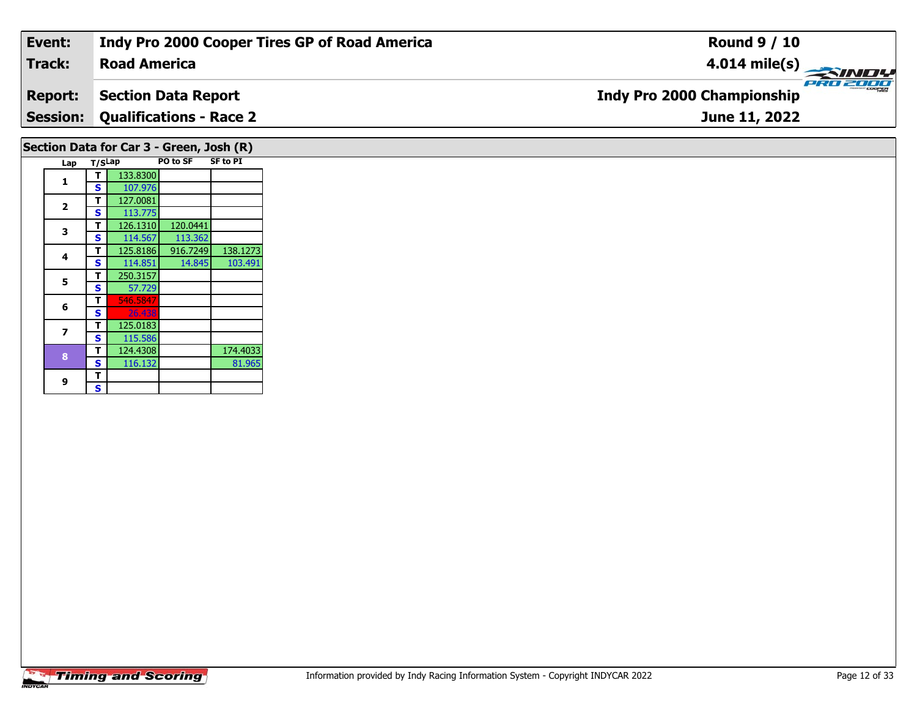| Event:         | Indy Pro 2000 Cooper Tires GP of Road America | <b>Round 9 / 10</b>                        |
|----------------|-----------------------------------------------|--------------------------------------------|
| Track:         | <b>Road America</b>                           | $\frac{4.014 \text{ mile(s)}}{\text{pHg}}$ |
| <b>Report:</b> | <b>Section Data Report</b>                    | <b>Indy Pro 2000 Championship</b>          |
|                | <b>Session: Qualifications - Race 2</b>       | June 11, 2022                              |
|                |                                               |                                            |

## **Lap T/SLap PO to SF SF to PI 1 <sup>T</sup>** 133.8300 **<sup>S</sup>** 107.976**22 S** 113.775 **3 <sup>T</sup>** 126.1310 120.0441 **<sup>S</sup>** 114.567 113.362 **<sup>T</sup>** 125.8186 916.7249 138.1273 **<sup>S</sup>** 114.851 14.845 103.491**4**103.491 **55 T** 250.3157<br>**S** 57.729 **6T** 546.584 125.0183 **7T** 125.0183<br>**S** 115.586 **8T** 124.4308 174.4033<br>**S** 116.132 81.965 81.965 **Section Data for Car 3 - Green, Josh (R)**

**9**9 <mark>「S</mark>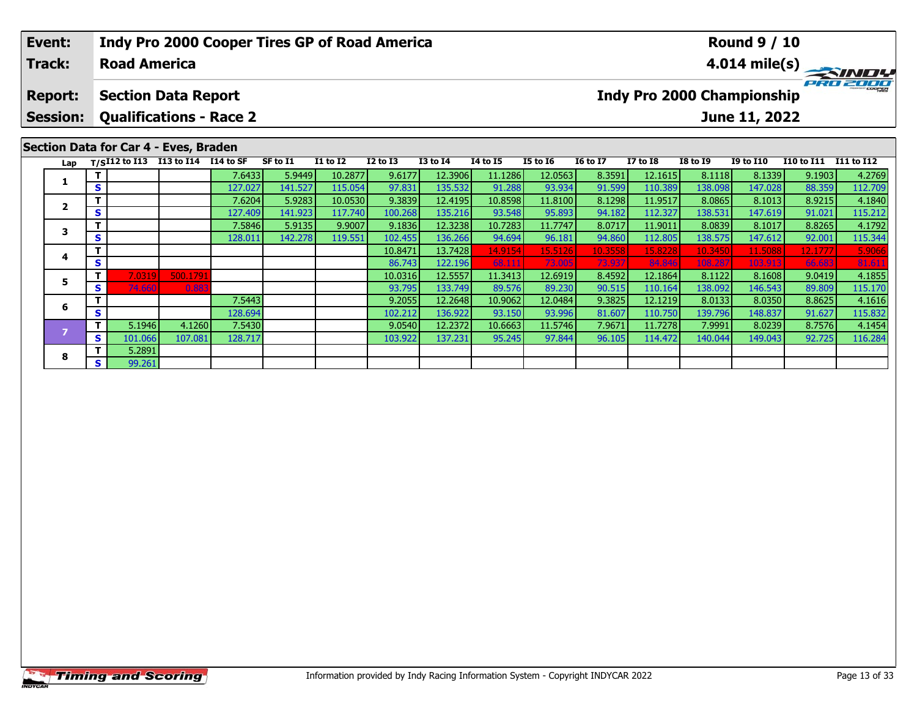#### **Event:Round 9 / 10 Indy Pro 2000 Cooper Tires GP of Road America Track:Road America4.014 mile(s)** PRO 2000 **Report: Section Data Report Indy Pro 2000 Championship Session: Qualifications - Race 2 June 11, 2022 Section Data for Car 4 - Eves, Braden Lap T/SI12 to I13 I13 to I14 I14 to SF SF to I1 I1 to I2 I2 to I3 I3 to I4 I4 to I5 I5 to I6 I6 to I7 I7 to I8 I8 to I9 I9 to I10 I10 to I11 I11 to I12 <sup>T</sup>** 7.6433 5.9449 10.2877 9.6177 12.3906 11.1286 12.0563 8.3591 12.1615 8.1118 8.1339 9.1903 4.2769 **<sup>S</sup>** 127.027 141.527 115.054 97.831 135.532 91.288 93.934 91.599 110.389 138.098 147.028 88.359 112.709**1 <sup>T</sup>** 7.6204 5.9283 10.0530 9.3839 12.4195 10.8598 11.8100 8.1298 11.9517 8.0865 8.1013 8.9215 4.1840 **<sup>S</sup>** 127.409 141.923 117.740 100.268 135.216 93.548 95.893 94.182 112.327 138.531 147.619 91.021 115.212**2**115.212 **<sup>T</sup>** 7.5846 5.9135 9.9007 9.1836 12.3238 10.7283 11.7747 8.0717 11.9011 8.0839 8.1017 8.8265 4.1792 **<sup>S</sup>** 128.011 142.278 119.551 102.455 136.266 94.694 96.181 94.860 112.805 138.575 147.612 92.001 115.344**3**

**<sup>T</sup>** 10.8471 13.7428 14.9154 15.5126 10.3558 15.8228 10.3450 11.5088 12.1777 5.9066 **<sup>S</sup>** 86.743 122.196 68.111 73.005 73.937 84.846 108.287 103.913 66.683 81.611

**<sup>T</sup>** 7.0319 500.1791 10.0316 12.5557 11.3413 12.6919 8.4592 12.1864 8.1122 8.1608 9.0419 4.1855 **<sup>S</sup>** 74.660 0.883 93.795 133.749 89.576 89.230 90.515 110.164 138.092 146.543 89.809 115.170

**<sup>T</sup>** 7.5443 9.2055 12.2648 10.9062 12.0484 9.3825 12.1219 8.0133 8.0350 8.8625 4.1616 **<sup>S</sup>** 128.694 102.212 136.922 93.150 93.996 81.607 110.750 139.796 148.837 91.627 115.832

**<sup>T</sup>** 5.1946 4.1260 7.5430 9.0540 12.2372 10.6663 11.5746 7.9671 11.7278 7.9991 8.0239 8.7576 4.1454 **<sup>S</sup>** 101.066 107.081 128.717 103.922 137.231 95.245 97.844 96.105 114.472 140.044 149.043 92.725 116.284

**4**

**5**

**6**

**8**

**T** 5.2891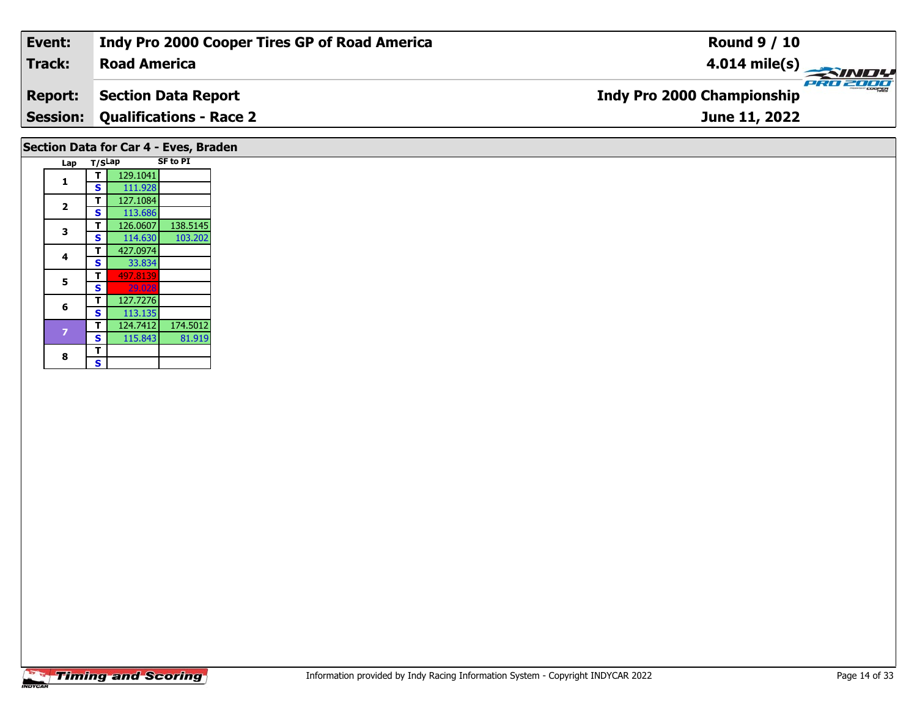| Event:                                | Indy Pro 2000 Cooper Tires GP of Road America | <b>Round 9 / 10</b>                           |  |  |  |  |  |
|---------------------------------------|-----------------------------------------------|-----------------------------------------------|--|--|--|--|--|
| Track:                                | <b>Road America</b>                           | $4.014 \text{ mile(s)}$                       |  |  |  |  |  |
| <b>Report:</b>                        | <b>Section Data Report</b>                    | PRO 2000<br><b>Indy Pro 2000 Championship</b> |  |  |  |  |  |
|                                       | <b>Session: Qualifications - Race 2</b>       | June 11, 2022                                 |  |  |  |  |  |
| Section Data for Car 4 - Eves, Braden |                                               |                                               |  |  |  |  |  |

| Lap            | T/SLap |          | <b>SF to PI</b> |
|----------------|--------|----------|-----------------|
| 1              |        | 129.1041 |                 |
|                | S      | 111.928  |                 |
| $\overline{2}$ | т      | 127.1084 |                 |
|                | S      | 113.686  |                 |
| 3              | т      | 126.0607 | 138.5145        |
|                | S      | 114.630  | 103.202         |
| 4              | т      | 427.0974 |                 |
|                | S      | 33.834   |                 |
| 5              | т      | 497.8139 |                 |
|                | S      | 29.028   |                 |
| 6              | т      | 127.7276 |                 |
|                | S      | 113.135  |                 |
| 7              | т      | 124.7412 | 174.5012        |
|                | S      | 115.843  | 81.919          |
| 8              | т      |          |                 |
|                | Ś      |          |                 |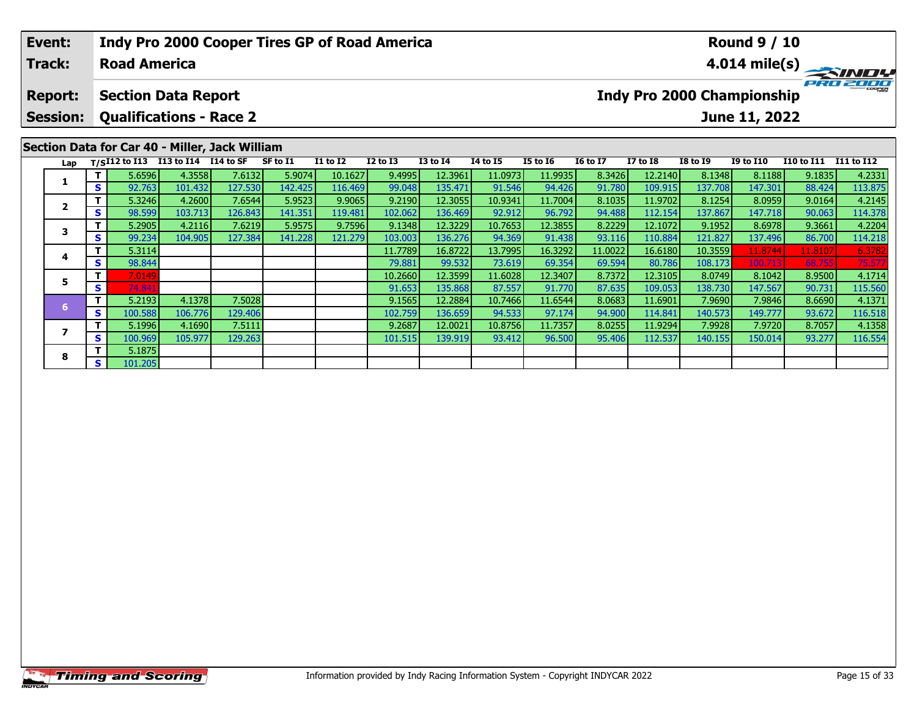|                                                | Event:          |                | <b>Indy Pro 2000 Cooper Tires GP of Road America</b><br><b>Round 9 / 10</b> |                      |         |          |                 |                 |                 |          |                         |                                               |                 |                 |                  |            |            |
|------------------------------------------------|-----------------|----------------|-----------------------------------------------------------------------------|----------------------|---------|----------|-----------------|-----------------|-----------------|----------|-------------------------|-----------------------------------------------|-----------------|-----------------|------------------|------------|------------|
|                                                | <b>Track:</b>   |                | <b>Road America</b>                                                         |                      |         |          |                 |                 |                 |          | $4.014 \text{ mile(s)}$ |                                               |                 |                 |                  |            |            |
|                                                | <b>Report:</b>  |                | <b>Section Data Report</b>                                                  |                      |         |          |                 |                 |                 |          |                         | PRO 2000<br><b>Indy Pro 2000 Championship</b> |                 |                 |                  |            |            |
|                                                | <b>Session:</b> |                | <b>Qualifications - Race 2</b>                                              |                      |         |          |                 |                 |                 |          |                         |                                               |                 |                 | June 11, 2022    |            |            |
| Section Data for Car 40 - Miller, Jack William |                 |                |                                                                             |                      |         |          |                 |                 |                 |          |                         |                                               |                 |                 |                  |            |            |
|                                                | Lap             |                | $T/SI12$ to $\overline{113}$                                                | I13 to I14 I14 to SF |         | SF to I1 | <b>I1 to I2</b> | <b>I2 to I3</b> | <b>I3 to I4</b> | 14 to 15 | <b>I5 to 16</b>         | <b>16 to 17</b>                               | <b>I7 to I8</b> | <b>I8 to I9</b> | <b>I9 to I10</b> | I10 to I11 | I11 to I12 |
|                                                |                 |                | 5.6596                                                                      | 4.3558               | 7.6132  | 5.9074   | 10.1627         | 9.4995          | 12.3961         | 11.0973  | 11.9935                 | 8.3426                                        | 12.2140         | 8.1348          | 8.1188           | 9.1835     | 4.2331     |
|                                                |                 | <b>S</b>       | 92.763                                                                      | 101.432              | 127.530 | 142.425  | 116.469         | 99.048          | 135.471         | 91.546   | 94.426                  | 91.780                                        | 109.915         | 137.708         | 147.301          | 88.424     | 113.875    |
|                                                | $\overline{2}$  |                | 5.3246                                                                      | 4.2600               | 7.6544  | 5.9523   | 9.9065          | 9.2190          | 12.3055         | 10.9341  | 11.7004                 | 8.1035                                        | 11.9702         | 8.1254          | 8.0959           | 9.0164     | 4.2145     |
|                                                |                 | <b>S</b>       | 98.599                                                                      | 103.713              | 126.843 | 141.351  | 119.481         | 102.062         | 136.469         | 92.912   | 96.792                  | 94.488                                        | 112.154         | 137.867         | 147.718          | 90.063     | 114.378    |
|                                                | 3               |                | 5.2905                                                                      | 4.2116               | 7.6219  | 5.9575   | 9.7596          | 9.1348          | 12.3229         | 10.7653  | 12.3855                 | 8.2229                                        | 12.1072         | 9.1952          | 8.6978           | 9.3661     | 4.2204     |
|                                                |                 | <b>S</b>       | 99.234                                                                      | 104.905              | 127.384 | 141.228  | 121.279         | 103.003         | 136.276         | 94.369   | 91.438                  | 93.116                                        | 110.884         | 121.827         | 137.496          | 86.700     | 114.218    |
|                                                | 4               |                | 5.3114                                                                      |                      |         |          |                 | 11.7789         | 16.8722         | 13.7995  | 16.3292                 | 11.0022                                       | 16.6180         | 10.3559         | 11.8744          | 11.8107    | 6.3782     |
|                                                |                 | S <sub>1</sub> | 98.844                                                                      |                      |         |          |                 | 79.881          | 99.532          | 73.619   | 69.354                  | 69.594                                        | 80.786          | 108.173         | 100.713          | 68.755     | 75.57      |

**<sup>T</sup>** 7.0149 10.2660 12.3599 11.6028 12.3407 8.7372 12.3105 8.0749 8.1042 8.9500 4.1714 **<sup>S</sup>** 74.841 91.653 135.868 87.557 91.770 87.635 109.053 138.730 147.567 90.731 115.560

**<sup>T</sup>** 5.2193 4.1378 7.5028 9.1565 12.2884 10.7466 11.6544 8.0683 11.6901 7.9690 7.9846 8.6690 4.1371 **<sup>S</sup>** 100.588 106.776 129.406 102.759 136.659 94.533 97.174 94.900 114.841 140.573 149.777 93.672 116.518

**<sup>T</sup>** 5.1996 4.1690 7.5111 9.2687 12.0021 10.8756 11.7357 8.0255 11.9294 7.9928 7.9720 8.7057 4.1358 **<sup>S</sup>** 100.969 105.977 129.263 101.515 139.919 93.412 96.500 95.406 112.537 140.155 150.014 93.277 116.554

**5**

**7**

**8**

**<sup>T</sup>** 5.1875 **<sup>S</sup>** 101.205

116.518<br>4.1358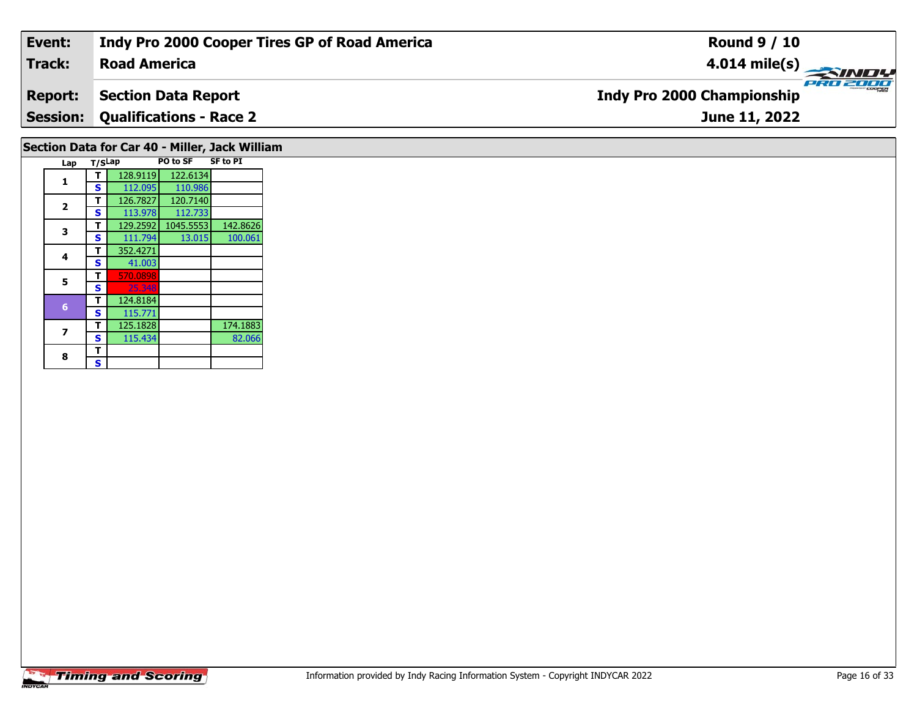| Event:                                         | Indy Pro 2000 Cooper Tires GP of Road America | <b>Round 9 / 10</b>                                 |  |  |  |  |  |  |
|------------------------------------------------|-----------------------------------------------|-----------------------------------------------------|--|--|--|--|--|--|
| <b>Track:</b>                                  | <b>Road America</b>                           | $\frac{4.014 \text{ mile(s)}}{4.014 \text{ miles}}$ |  |  |  |  |  |  |
| <b>Report:</b>                                 | <b>Section Data Report</b>                    | <b>Indy Pro 2000 Championship</b>                   |  |  |  |  |  |  |
| <b>Session:</b>                                | <b>Qualifications - Race 2</b>                | June 11, 2022                                       |  |  |  |  |  |  |
| Section Data for Car 40 - Miller, Jack William |                                               |                                                     |  |  |  |  |  |  |

| Lap          | T/SLap |          | <b>PO to SF</b> | <b>SF to PI</b> |
|--------------|--------|----------|-----------------|-----------------|
|              |        | 128.9119 | 122.6134        |                 |
| 1            | S      | 112.095  | 110.986         |                 |
| $\mathbf{2}$ | т      | 126.7827 | 120.7140        |                 |
|              | S      | 113.978  | 112.733         |                 |
| 3            | т      | 129.2592 | 1045.5553       | 142.8626        |
|              | S      | 111.794  | 13.015          | 100.061         |
| 4            | т      | 352.4271 |                 |                 |
|              | S      | 41.003   |                 |                 |
| 5            | т      | 570.0898 |                 |                 |
|              | S      | 25.348   |                 |                 |
| 6            | т      | 124.8184 |                 |                 |
|              | S      | 115.771  |                 |                 |
| 7            | т      | 125.1828 |                 | 174.1883        |
|              | S      | 115.434  |                 | 82.066          |
| 8            | т      |          |                 |                 |
|              | S      |          |                 |                 |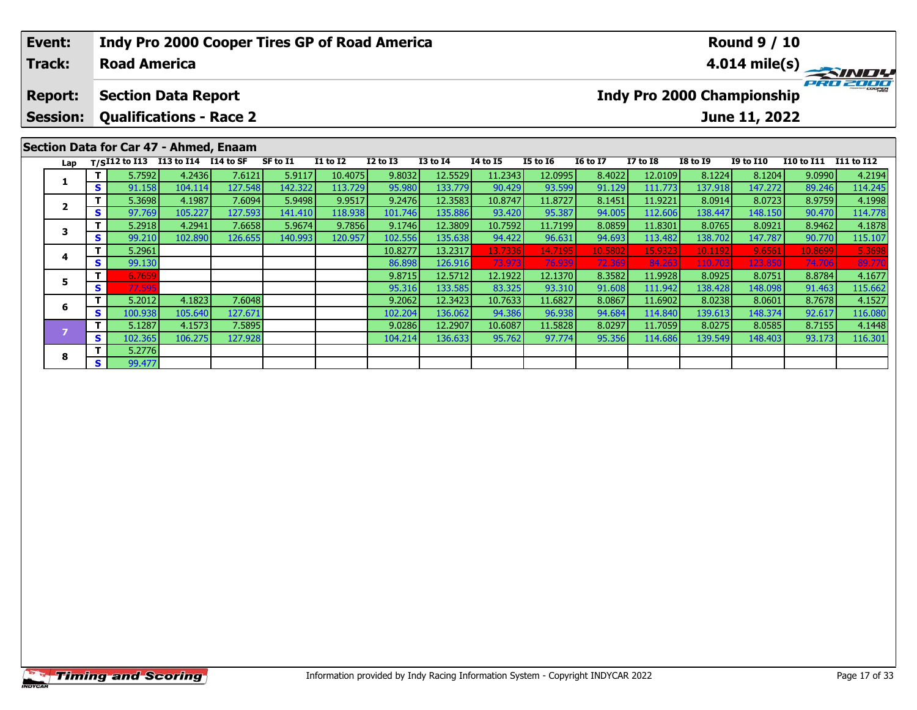| Event:                            |     |        |                                                              |                                        | <b>Indy Pro 2000 Cooper Tires GP of Road America</b> |                 |              |                 | <b>Round 9 / 10</b> |                 |                 |                                                                |                 |           |            |            |  |  |
|-----------------------------------|-----|--------|--------------------------------------------------------------|----------------------------------------|------------------------------------------------------|-----------------|--------------|-----------------|---------------------|-----------------|-----------------|----------------------------------------------------------------|-----------------|-----------|------------|------------|--|--|
| <b>Track:</b>                     |     |        | <b>Road America</b>                                          |                                        |                                                      |                 |              |                 |                     |                 |                 | $4.014 \text{ mile(s)}$                                        |                 |           |            |            |  |  |
| <b>Report:</b><br><b>Session:</b> |     |        | <b>Section Data Report</b><br><b>Qualifications - Race 2</b> |                                        |                                                      |                 |              |                 |                     |                 |                 | PRO 2000<br><b>Indy Pro 2000 Championship</b><br>June 11, 2022 |                 |           |            |            |  |  |
|                                   |     |        |                                                              |                                        |                                                      |                 |              |                 |                     |                 |                 |                                                                |                 |           |            |            |  |  |
|                                   |     |        |                                                              | Section Data for Car 47 - Ahmed, Enaam |                                                      |                 |              |                 |                     |                 |                 |                                                                |                 |           |            |            |  |  |
| Lap                               |     |        | T/SI12 to I13 I13 to I14 $\overline{114}$ to SF              |                                        | SF to I1                                             | <b>I1 to I2</b> | $I2$ to $I3$ | <b>I3 to I4</b> | <b>I4 to I5</b>     | <b>I5 to 16</b> | <b>16 to 17</b> | <b>I7 to I8</b>                                                | <b>I8 to I9</b> | I9 to I10 | I10 to I11 | I11 to I12 |  |  |
|                                   |     | 5.7592 | 4.2436                                                       | 7.6121                                 | 5.9117                                               | 10.4075         | 9.8032       | 12.5529         | 11.2343             | 12.0995         | 8.4022          | 12.0109                                                        | 8.1224          | 8.1204    | 9.0990     | 4.2194     |  |  |
|                                   | S.  | 91.158 | 104.114                                                      | 127.548                                | 142.322                                              | 113.729         | 95.980       | 133.779         | 90.429              | 93.599          | 91.129          | 111.773                                                        | 137.918         | 147.272   | 89.246     | 114.245    |  |  |
| $\overline{2}$                    |     | 5.3698 | 4.1987                                                       | 7.6094                                 | 5.9498                                               | 9.9517          | 9.2476       | 12.3583         | 10.8747             | 11.8727         | 8.1451          | 11.9221                                                        | 8.0914          | 8.0723    | 8.9759     | 4.1998     |  |  |
|                                   | s l | 97.769 | 105.227                                                      | 127.593                                | 141.410                                              | 118.938         | 101.746      | 135.886         | 93.420              | 95.387          | 94.005          | 112.606                                                        | 138.447         | 148.150   | 90.470     | 114.778    |  |  |
|                                   |     | 5.2918 | 4.2941                                                       | 7.6658                                 | 5.9674                                               | 9.7856          | 9.1746       | 12.3809         | 10.7592             | 11.7199         | 8.0859          | 11.8301                                                        | 8.0765          | 8.0921    | 8.9462     | 4.1878     |  |  |
| 3                                 |     |        |                                                              |                                        |                                                      |                 |              |                 |                     |                 |                 |                                                                |                 |           |            |            |  |  |

| Lap |          |         | $1/5112$ to $113$ to $114$ $114$ to $35$ |         | <b>SL 10 TT</b> | 11 W 12 | 14 W 13 | 13 W 14 | 14 W 13 | 13 LV 10 | 10 LV 17 | 17 W 10  | 10 W 19 | 19 LU 11U | 110 TO 111 THE TO 112 |         |
|-----|----------|---------|------------------------------------------|---------|-----------------|---------|---------|---------|---------|----------|----------|----------|---------|-----------|-----------------------|---------|
|     |          | 5.7592  | 4.2436                                   | 7.6121  | 5.9117          | 10.4075 | 9.8032  | 12.5529 | 11.2343 | 12.0995  | 8.4022   | 12.0109  | 8.1224  | 8.1204    | 9.0990                | 4.2194  |
|     | <b>S</b> | 91.158  | 104.114                                  | 127.548 | 142.322         | 113.729 | 95.980  | 133.779 | 90.429  | 93.599   | 91.129   | 111.773  | 137.918 | 147.272   | 89.246                | 114.245 |
|     |          | 5.3698  | 4.1987                                   | 7.6094  | 5.9498          | 9.9517  | 9.2476  | 12.3583 | 10.8747 | 11.8727  | 8.1451   | 11.9221  | 8.0914  | 8.0723    | 8.9759                | 4.1998  |
|     | S I      | 97.769  | 105.227                                  | 127.593 | 141.410         | 118.938 | 101.746 | 135.886 | 93.420  | 95.387   | 94.005   | 112.606  | 138.447 | 148.150   | 90.470                | 114.778 |
|     |          | 5.2918  | 4.2941                                   | 7.6658  | 5.9674          | 9.7856  | 9.1746  | 12.3809 | 10.7592 | 11.7199  | 8.0859   | 11.8301  | 8.0765  | 8.0921    | 8.9462                | 4.1878  |
|     | S.       | 99.210  | 102.890                                  | 126.655 | 140.993         | 120.957 | 102.556 | 135.638 | 94.422  | 96.631   | 94.693   | 113.482  | 138.702 | 147.787   | 90.770                | 115.107 |
|     |          | 5.2961  |                                          |         |                 |         | 10.8277 | 13.2317 | 13.7336 | 14.7195  | 10.5802  | 15.9323  | 10.1192 | 9.6561    | 10.8699               | 5.3698  |
|     | is l     | 99.130  |                                          |         |                 |         | 86.898  | 126.916 | 73.973  | 76.939   | 72.369   | 84.263   | 110.703 | 123.850   | 74.706                | 89.770  |
|     |          | 6.7659  |                                          |         |                 |         | 9.8715  | 12.5712 | 12.1922 | 12.1370  | 8.3582   | 11.9928  | 8.0925  | 8.0751    | 8.8784                | 4.1677  |
|     | S.       | 77.595  |                                          |         |                 |         | 95.316  | 133.585 | 83.325  | 93.310   | 91.608   | 111.942  | 138.428 | 148.098   | 91.463                | 115.662 |
| 6   |          | 5.2012  | 4.1823                                   | 7.6048  |                 |         | 9.2062  | 12.3423 | 10.7633 | 11.6827  | 8.0867   | 11.69021 | 8.0238  | 8.0601    | 8.7678                | 4.1527  |
|     | S.       | 100.938 | 105.640                                  | 127.671 |                 |         | 102.204 | 136.062 | 94.386  | 96.938   | 94.684   | 114.840  | 139.613 | 148.374   | 92.617                | 116.080 |
|     |          | 5.1287  | 4.1573                                   | 7.5895  |                 |         | 9.0286  | 12.2907 | 10.6087 | 11.5828  | 8.0297   | 11.7059  | 8.0275  | 8.0585    | 8.7155                | 4.1448  |
|     | S.       | 102.365 | 106.275                                  | 127.928 |                 |         | 104.214 | 136.633 | 95.762  | 97.774   | 95.356   | 114.686  | 139.549 | 148.403   | 93.173                | 116.301 |
| 8   |          | 5.2776  |                                          |         |                 |         |         |         |         |          |          |          |         |           |                       |         |
|     | s l      | 99.477  |                                          |         |                 |         |         |         |         |          |          |          |         |           |                       |         |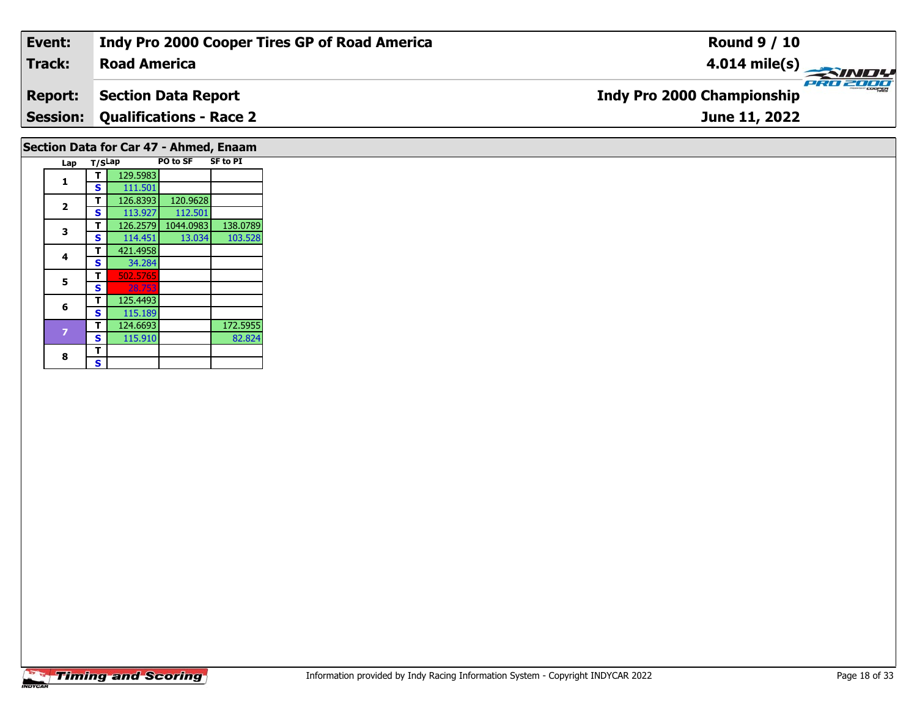| Event:         | Indy Pro 2000 Cooper Tires GP of Road America | <b>Round 9 / 10</b>                               |
|----------------|-----------------------------------------------|---------------------------------------------------|
| Track:         | <b>Road America</b>                           | $\frac{4.014 \text{ mile(s)}}{1.014 \text{ m}^2}$ |
| <b>Report:</b> | <b>Section Data Report</b>                    | <b>Indy Pro 2000 Championship</b>                 |
|                | <b>Session: Qualifications - Race 2</b>       | June 11, 2022                                     |
|                |                                               |                                                   |

# **Section Data for Car 47 - Ahmed, Enaam**

| Lap | T/SLap |          | PO to SF  | <b>SF to PI</b> |
|-----|--------|----------|-----------|-----------------|
|     |        | 129.5983 |           |                 |
| 1   | S      | 111.501  |           |                 |
|     | т      | 126.8393 | 120.9628  |                 |
| 2   | S      | 113.927  | 112.501   |                 |
| 3   | т      | 126.2579 | 1044.0983 | 138.0789        |
|     | S      | 114.451  | 13.034    | 103.528         |
| 4   | т      | 421.4958 |           |                 |
|     | S      | 34.284   |           |                 |
| 5   | т      | 502.5765 |           |                 |
|     | S      | 28.753   |           |                 |
| 6   | т      | 125.4493 |           |                 |
|     | S      | 115.189  |           |                 |
|     | т      | 124.6693 |           | 172.5955        |
|     | S      | 115.910  |           | 82.824          |
| 8   | т      |          |           |                 |
|     | S      |          |           |                 |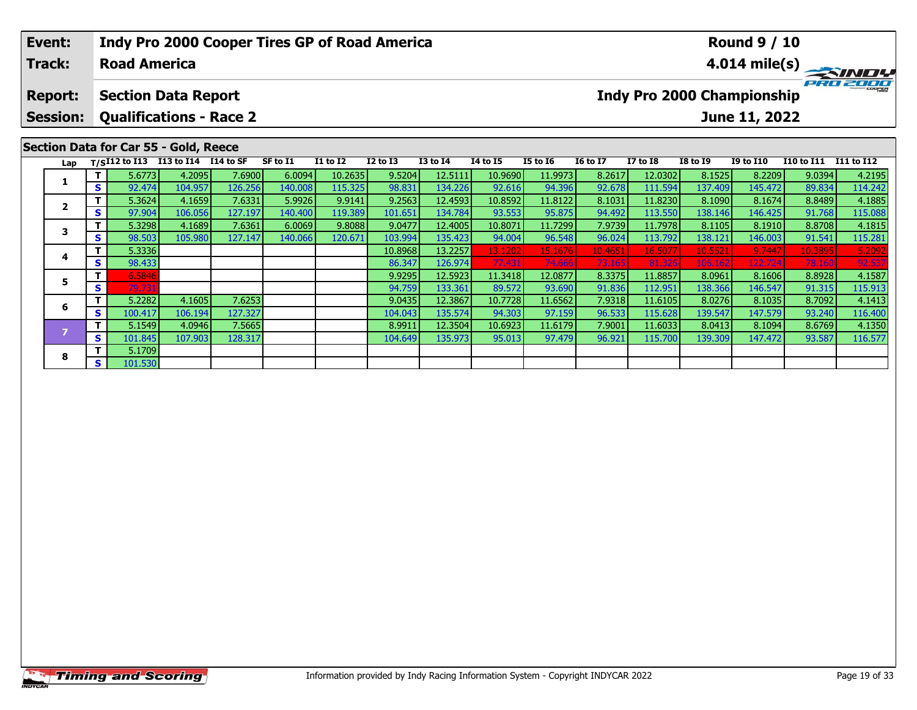### **Event:Round 9 / 10 Indy Pro 2000 Cooper Tires GP of Road America Track:Road America4.014 mile(s)** PRO ZOOO **Report: Section Data Report Indy Pro 2000 Championship Session: Qualifications - Race 2 June 11, 2022 Section Data for Car 55 - Gold, Reece Lap T/SI12 to I13 I13 to I14 I14 to SF SF to I1 I1 to I2 I2 to I3 I3 to I4 I4 to I5 I5 to I6 I6 to I7 I7 to I8 I8 to I9 I9 to I10 I10 to I11 I11 to I12**  1 | T | 5.6773 |4.2095 |7.6900 | 6.0094 |10.2635 |9.5204 |12.5111 |10.9690 |11.9973 |8.2617 |12.0302 | 8.1525 |8.2209 |9.0394 |4.2195 |<br>1 | S | 92.474 |104.957 |126.256 |140.008 |115.325 |98.831 |134.226 |92.616 |94.396 |9 **1**2 T | 5.3624 4.1659 7.6331 5.9926 9.9141 9.2563 12.4593 10.8592 11.8122 8.1031 11.8230 8.1090 8.1674 8.8489 4.1885<br>2 S 97.904 106.056 127.197 140.400 119.389 101.651 134.784 93.553 95.875 94.492 113.550 138.146 146.425 91. **2**115.088 3 T | 5.3298 4.1689 7.6361 6.0069 9.8088 9.0477 12.4005 10.8071 11.7299 7.9739 11.7978 8.1105 8.1910 8.8708 4.1815<br>S | 98.503 105.980 127.147 140.066 120.671 103.994 135.423 94.004 96.548 96.024 113.792 138.121 146.003 91. **3<sup>T</sup>** 5.3336 10.8968 13.2257 13.1202 15.1676 10.4651 16.5077 10.5521 9.7447 10.3895 5.2092 **<sup>S</sup>** 98.433 86.347 126.974 77.431 74.666 73.165 81.326 106.162 122.724 78.160 92.537

**<sup>T</sup>** 6.5846 9.9295 12.5923 11.3418 12.0877 8.3375 11.8857 8.0961 8.1606 8.8928 4.1587 **<sup>S</sup>** 79.731 94.759 133.361 89.572 93.690 91.836 112.951 138.366 146.547 91.315 115.913

**<sup>T</sup>** 5.2282 4.1605 7.6253 9.0435 12.3867 10.7728 11.6562 7.9318 11.6105 8.0276 8.1035 8.7092 4.1413 **<sup>S</sup>** 100.417 106.194 127.327 104.043 135.574 94.303 97.159 96.533 115.628 139.547 147.579 93.240 116.400

**<sup>T</sup>** 5.1549 4.0946 7.5665 8.9911 12.3504 10.6923 11.6179 7.9001 11.6033 8.0413 8.1094 8.6769 4.1350 **<sup>S</sup>** 101.845 107.903 128.317 104.649 135.973 95.013 97.479 96.921 115.700 139.309 147.472 93.587 116.577

**4**

**5**

**6**

**8**

**<sup>T</sup>** 5.1709 **<sup>S</sup>** 101.530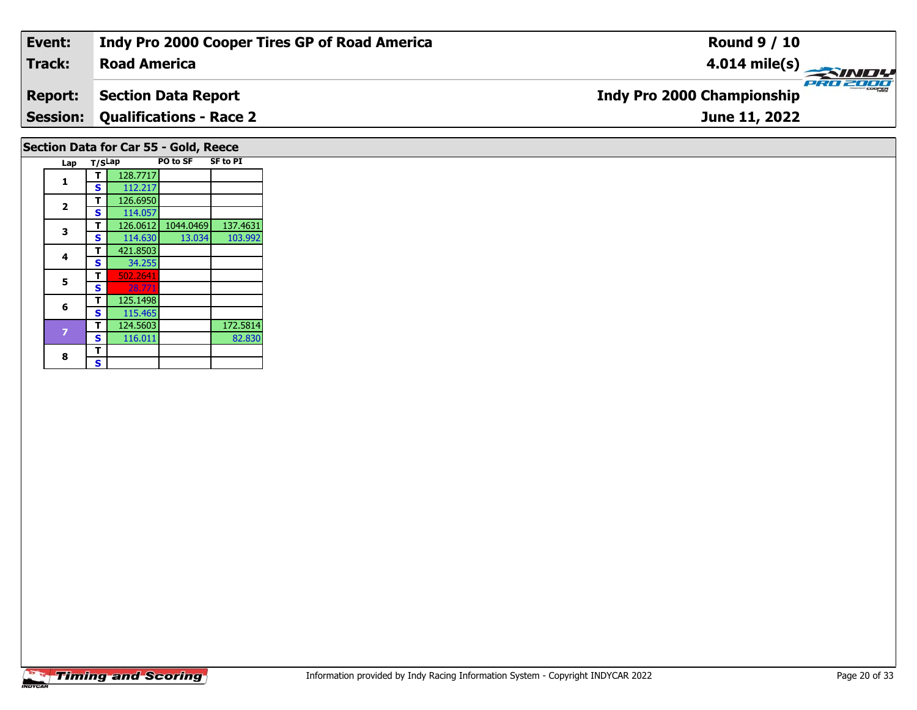| Event:         | Indy Pro 2000 Cooper Tires GP of Road America | <b>Round 9 / 10</b>                                                    |
|----------------|-----------------------------------------------|------------------------------------------------------------------------|
| <b>Track:</b>  | <b>Road America</b>                           | $\frac{4.014 \text{ mile(s)}}{\text{p} \cdot \text{m} \cdot \text{m}}$ |
| <b>Report:</b> | Section Data Report                           | <b>Indy Pro 2000 Championship</b>                                      |
|                | <b>Session: Qualifications - Race 2</b>       | June 11, 2022                                                          |
|                |                                               |                                                                        |

# **Section Data for Car 55 - Gold, Reece**

| Lap | T/SLap |          | PO to SF  | <b>SF to PI</b> |
|-----|--------|----------|-----------|-----------------|
| 1   | т      | 128.7717 |           |                 |
|     | S      | 112.217  |           |                 |
| 2   | т      | 126.6950 |           |                 |
|     | S      | 114.057  |           |                 |
| 3   | т      | 126.0612 | 1044.0469 | 137.4631        |
|     | S      | 114.630  | 13.034    | 103.992         |
| 4   | т      | 421.8503 |           |                 |
|     | S      | 34.255   |           |                 |
| 5   | т      | 502.2641 |           |                 |
|     | S      | 28.771   |           |                 |
|     | т      | 125.1498 |           |                 |
| 6   | S      | 115.465  |           |                 |
|     | т      | 124.5603 |           | 172.5814        |
|     | S      | 116.011  |           | 82.830          |
| 8   | т      |          |           |                 |
|     | S      |          |           |                 |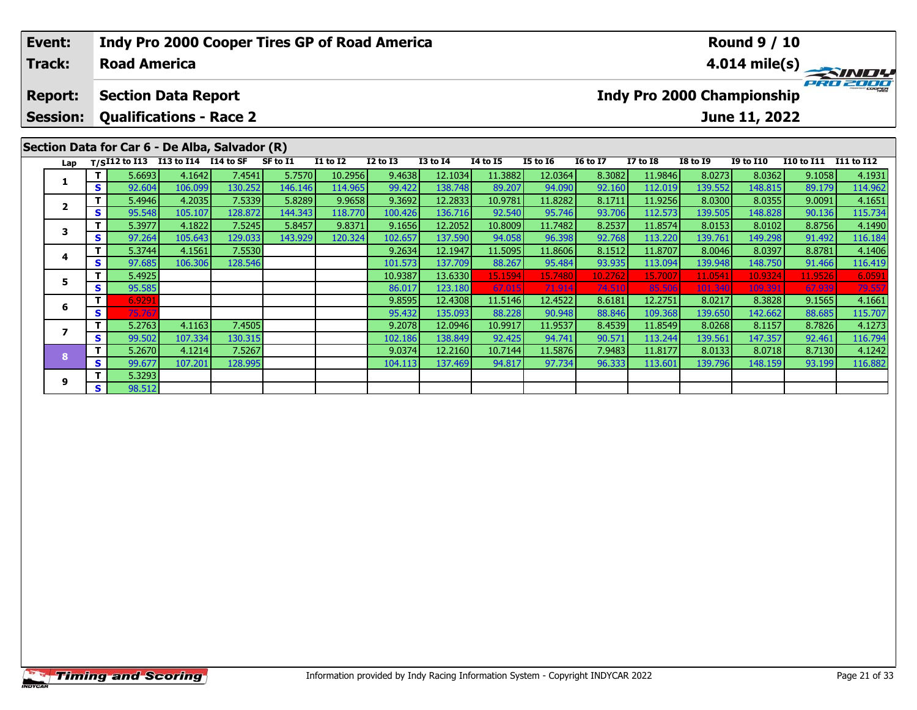| Event:<br><b>Track:</b> |                                    | <b>Road America</b>                |         |                                                | Indy Pro 2000 Cooper Tires GP of Road America |                 |              |                            | <b>Round 9 / 10</b>        | $\frac{4.014 \text{ mile(s)}}{4.014 \text{ miles}}$ |                  |                   |                                   |               |         |         |
|-------------------------|------------------------------------|------------------------------------|---------|------------------------------------------------|-----------------------------------------------|-----------------|--------------|----------------------------|----------------------------|-----------------------------------------------------|------------------|-------------------|-----------------------------------|---------------|---------|---------|
| <b>Report:</b>          |                                    | <b>Section Data Report</b>         |         |                                                |                                               |                 |              |                            |                            |                                                     |                  |                   | <b>Indy Pro 2000 Championship</b> |               |         |         |
| <b>Session:</b>         |                                    | <b>Qualifications - Race 2</b>     |         |                                                |                                               |                 |              |                            |                            |                                                     |                  |                   |                                   | June 11, 2022 |         |         |
|                         |                                    | T/SI12 to I13 I13 to I14 I14 to SF |         | Section Data for Car 6 - De Alba, Salvador (R) | SF to I1                                      | <b>I1 to I2</b> | $I2$ to $I3$ | <b>16 to 17</b>            | <b>I7 to I8</b>            | <b>I8 to I9</b>                                     | <b>I9 to I10</b> | <b>I10 to I11</b> | I11 to I12                        |               |         |         |
| Lap                     | т.                                 | 5.6693                             | 4.1642  | 7.4541                                         | 5.7570                                        | 10.2956         | 9.4638       | <b>I3 to I4</b><br>12.1034 | <b>I4 to I5</b><br>11.3882 | <b>I5 to 16</b><br>12.0364                          | 8.3082           | 11.9846           | 8.0273                            | 8.0362        | 9.1058  | 4.1931  |
|                         | S                                  | 92.604                             | 106.099 | 130.252                                        | 146.146                                       | 114.965         | 99.422       | 138.748                    | 89.207                     | 94.090                                              | 92.160           | 112.019           | 139.552                           | 148.815       | 89.179  | 114.962 |
|                         |                                    | 5.4946                             | 4.2035  | 7.5339                                         | 5.8289                                        | 9.9658          | 9.3692       | 12.2833                    | 10.9781                    | 11.8282                                             | 8.1711           | 11.9256           | 8.0300                            | 8.0355        | 9.0091  | 4.1651  |
| $\overline{\mathbf{2}}$ | S.                                 | 95.548                             | 105.107 | 128.872                                        | 144.343                                       | 118.770         | 100.426      | 136.716                    | 92.540                     | 95.746                                              | 93.706           | 112.573           | 139.505                           | 148.828       | 90.136  | 115.734 |
| 3                       |                                    | 5.3977                             | 4.1822  | 7.5245                                         | 5.8457                                        | 9.8371          | 9.1656       | 12.2052                    | 10.8009                    | 11.7482                                             | 8.2537           | 11.8574           | 8.0153                            | 8.0102        | 8.8756  | 4.1490  |
|                         | S.                                 | 97.264                             | 105.643 | 129.033                                        | 143.929                                       | 120.324         | 102.657      | 137.590                    | 94.058                     | 96.398                                              | 92.768           | 113.220           | 139.761                           | 149.298       | 91.492  | 116.184 |
| 4                       |                                    | 5.3744                             | 4.1561  | 7.5530                                         |                                               |                 | 9.2634       | 12.1947                    | 11.5095                    | 11.8606                                             | 8.1512           | 11.8707           | 8.0046                            | 8.0397        | 8.8781  | 4.1406  |
|                         | S.                                 | 97.685                             | 106.306 | 128.546                                        |                                               |                 | 101.573      | 137.709                    | 88.267                     | 95.484                                              | 93.935           | 113.094           | 139.948                           | 148.750       | 91.466  | 116.419 |
| 5                       |                                    | 5.4925                             |         |                                                |                                               |                 | 10.9387      | 13.6330                    | 15.1594                    | 15.7480                                             | 10.2762          | 15.7007           | 11.0541                           | 10.9324       | 11.9526 | 6.0591  |
| S.                      | 95.585                             |                                    |         |                                                |                                               | 86.017          | 123.180      | 67.015                     | 71.914                     | 74.510                                              | 85.506           | 101.340           | 109.391                           | 67.939        | 79.55   |         |
| 6                       |                                    | 6.9291                             |         |                                                |                                               |                 | 9.8595       | 12.4308                    | 11.5146                    | 12.4522                                             | 8.6181           | 12.2751           | 8.0217                            | 8.3828        | 9.1565  | 4.1661  |
|                         | 75.767<br>S.<br>135.093<br>95.4321 |                                    |         |                                                |                                               |                 |              |                            | 88.228                     | 90.948                                              | 88.846           | 109.3681          | 139.6501                          | 142.662       | 88.685  | 115.707 |

**<sup>T</sup>** 5.2763 4.1163 7.4505 9.2078 12.0946 10.9917 11.9537 8.4539 11.8549 8.0268 8.1157 8.7826 4.1273 **<sup>S</sup>** 99.502 107.334 130.315 102.186 138.849 92.425 94.741 90.571 113.244 139.561 147.357 92.461 116.794

**<sup>T</sup>** 5.2670 4.1214 7.5267 9.0374 12.2160 10.7144 11.5876 7.9483 11.8177 8.0133 8.0718 8.7130 4.1242 **<sup>S</sup>** 99.677 107.201 128.995 104.113 137.469 94.817 97.734 96.333 113.601 139.796 148.159 93.199 116.882

**7**

**8**

**9**

**<sup>T</sup>** 5.3293 **<sup>S</sup>** 98.512

4.1273

116.794<br>4.1242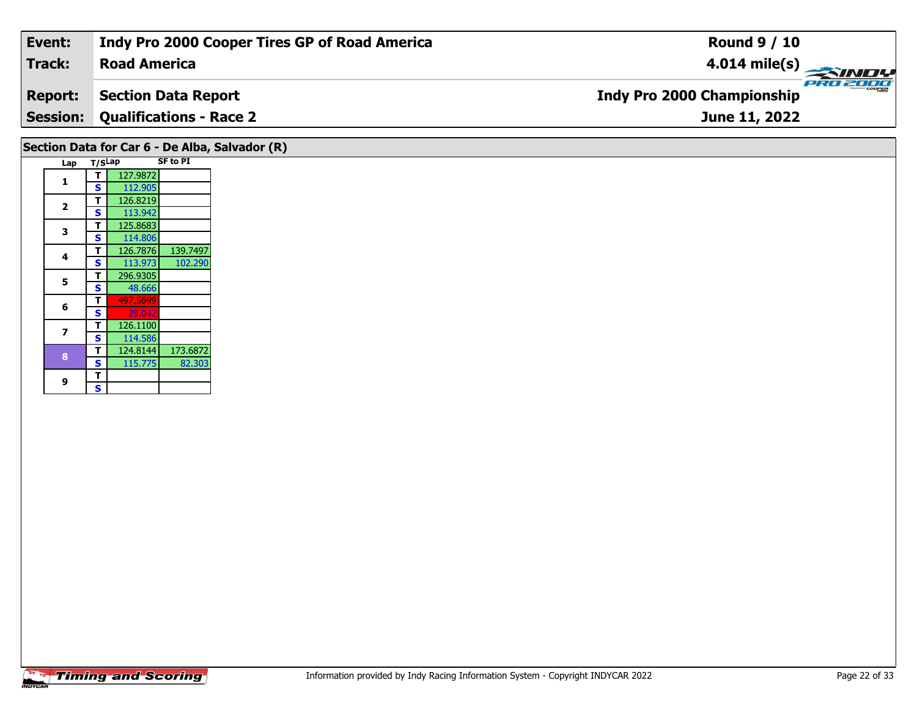| Event:         | Indy Pro 2000 Cooper Tires GP of Road America  | <b>Round 9 / 10</b>                    |
|----------------|------------------------------------------------|----------------------------------------|
| Track:         | <b>Road America</b>                            |                                        |
| <b>Report:</b> | Section Data Report                            | PRO 2000<br>Indy Pro 2000 Championship |
|                | <b>Session: Qualifications - Race 2</b>        | June 11, 2022                          |
|                | Section Data for Car 6 - De Alba, Salvador (R) |                                        |

| Lap                     | T/SLap |          | <b>SF to PI</b> |
|-------------------------|--------|----------|-----------------|
|                         | т      | 127.9872 |                 |
| 1                       | S      | 112.905  |                 |
|                         | т      | 126.8219 |                 |
| $\overline{\mathbf{2}}$ | S      | 113.942  |                 |
| 3                       | T      | 125.8683 |                 |
|                         | S      | 114.806  |                 |
| 4                       | т      | 126.7876 | 139.7497        |
|                         | S      | 113.973  | 102.290         |
| 5                       | т      | 296.9305 |                 |
|                         | S      | 48.666   |                 |
| 6                       | т      | 497.5699 |                 |
|                         | S      | 29.042   |                 |
| 7                       | т      | 126.1100 |                 |
|                         | S      | 114.586  |                 |
| 8                       | т      | 124.8144 | 173.6872        |
|                         | S      | 115.775  | 82.303          |
| 9                       | т      |          |                 |
|                         | S      |          |                 |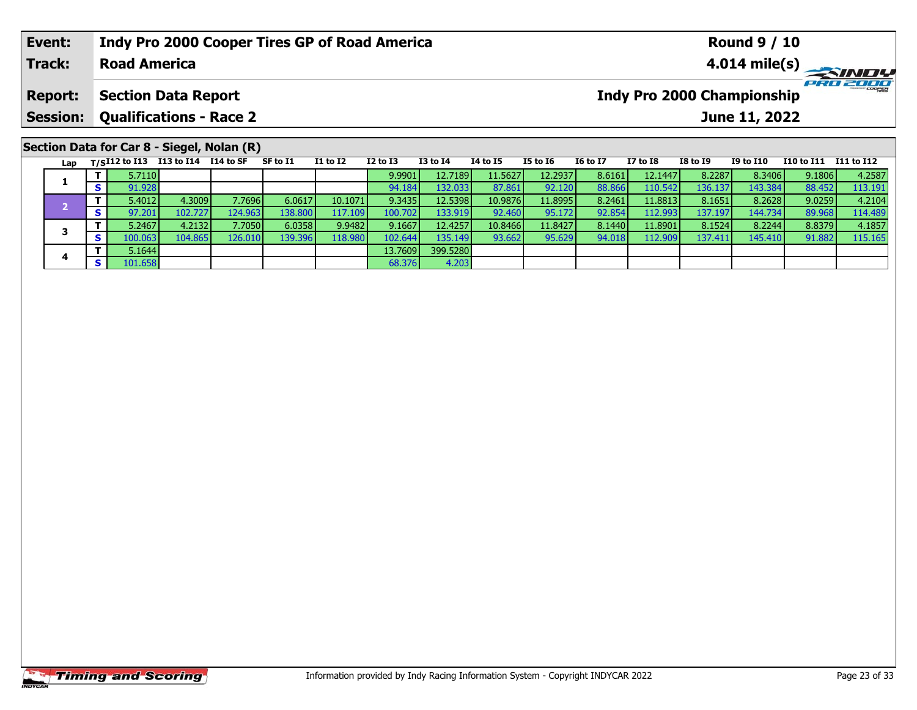|                               | Event:          |     |        | <b>Indy Pro 2000 Cooper Tires GP of Road America</b> |        |          |                 |                 |                 | <b>Round 9 / 10</b> |                 |                 |                 |                                   |                  |                   |            |  |
|-------------------------------|-----------------|-----|--------|------------------------------------------------------|--------|----------|-----------------|-----------------|-----------------|---------------------|-----------------|-----------------|-----------------|-----------------------------------|------------------|-------------------|------------|--|
| Track:<br><b>Road America</b> |                 |     |        |                                                      |        |          |                 |                 |                 | PRO 2000            |                 |                 |                 |                                   |                  |                   |            |  |
|                               | <b>Report:</b>  |     |        | <b>Section Data Report</b>                           |        |          |                 |                 |                 |                     |                 |                 |                 | <b>Indy Pro 2000 Championship</b> |                  |                   |            |  |
|                               | <b>Session:</b> |     |        | <b>Qualifications - Race 2</b>                       |        |          |                 |                 |                 |                     | June 11, 2022   |                 |                 |                                   |                  |                   |            |  |
|                               |                 |     |        | Section Data for Car 8 - Siegel, Nolan (R)           |        |          |                 |                 |                 |                     |                 |                 |                 |                                   |                  |                   |            |  |
|                               |                 |     |        | Lap T/SI12 to I13 113 to I14 I14 to SF               |        | SF to I1 | <b>I1 to I2</b> | <b>I2 to I3</b> | <b>I3 to I4</b> | <b>I4 to I5</b>     | <b>I5 to 16</b> | <b>16 to 17</b> | <b>I7 to I8</b> | <b>I8 to 19</b>                   | <b>I9 to I10</b> | <b>I10 to I11</b> | I11 to I12 |  |
|                               | 1               |     | 5.7110 |                                                      |        |          |                 | 9.9901          | 12.7189         | 11.5627             | 12.2937         | 8.6161          | 12.1447         | 8.2287                            | 8.3406           | 9.1806            | 4.2587     |  |
|                               |                 | S I | 91.928 |                                                      |        |          |                 | 94.184          | 132.033         | 87.861              | 92.120          | 88.866          | 110.542         | 136.137                           | 143.384          | 88.452            | 113.191    |  |
|                               |                 |     | 5.4012 | 4.3009                                               | 7.7696 | 6.0617   | 10.1071         | 9.3435          | 12.5398         | 10.9876             | 11.8995         | 8.2461          | 11.8813         | 8.1651                            | 8.2628           | 9.0259            | 4.2104     |  |

– 1 5.4012| 4.3009| 7.7696| 6.0617| 10.1071| 9.3435| 12.5398| 10.9876| 11.8995| 8.2461| 11.8813| 8.1651| 8.2628| 9.0259| 4.2104<br>| s 97.201| 102.727| 124.963| 138.800| 117.109| 100.702| 133.919| 92.460| 95.172| 92.854| 112.

3 T | 5.2467 4.2132 7.7050 6.0358 9.9482 9.1667 12.4257 10.8466 11.8427 8.1440 11.8901 8.1524 8.2244 8.8379 4.1857<br>S | S 100.063 104.865 126.010 139.396 118.980 102.644 135.149 93.662 95.629 94.018 112.909 137.411 145.410

4.203

**3**

**4**

**4 T** 5.1644 13.7609 399.5280<br> **S** 101.658 68.376 4.203

114.489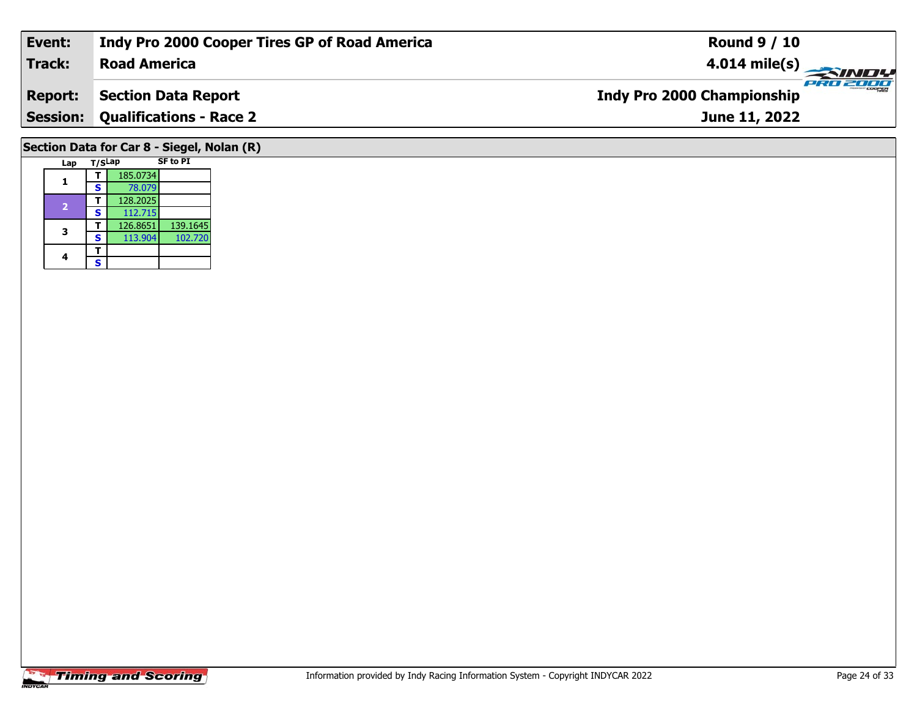| Event:         | Indy Pro 2000 Cooper Tires GP of Road America | <b>Round 9 / 10</b>                           |
|----------------|-----------------------------------------------|-----------------------------------------------|
| Track:         | <b>Road America</b>                           | $4.014 \text{ mile(s)}$                       |
| <b>Report:</b> | <b>Section Data Report</b>                    | PRO 2000<br><b>Indy Pro 2000 Championship</b> |
|                | <b>Session: Qualifications - Race 2</b>       | June 11, 2022                                 |
|                |                                               |                                               |
|                | Section Data for Car 8 - Siegel, Nolan (R)    |                                               |
| Lap            | <b>SF to PI</b><br>T/SLap                     |                                               |

**1**

**3**

4  $\frac{1}{s}$  $\mathsf{s}$ 

 **<sup>T</sup>** 185.0734 **<sup>S</sup>** 78.07978.079<br>128.2025 **<sup>T</sup>** 128.2025 **<sup>S</sup>** 112.715126.8651

**<sup>T</sup>** 126.8651 139.1645 **<sup>S</sup>** 113.904 102.720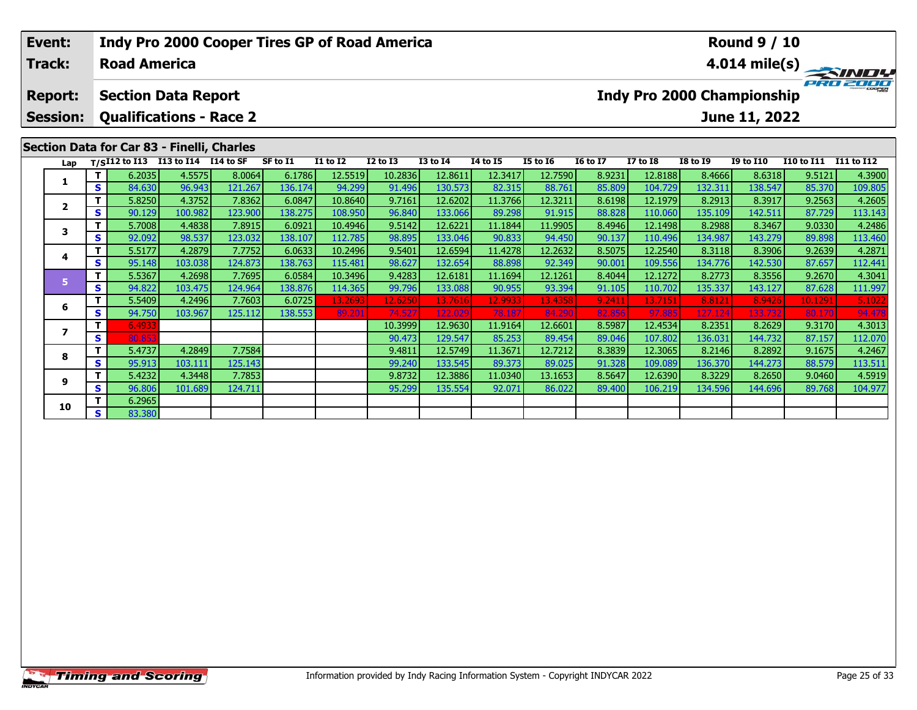| Indy Pro 2000 Cooper Tires GP of Road America<br>Event:<br><b>Track:</b><br><b>Road America</b> |                                                           |        |                                                              |         |         |          |                 |                 |                 |          | <b>Round 9 / 10</b><br>$4.014 \text{ mile(s)}$ |                 |                 |                 |                                                    |                   |                   |  |
|-------------------------------------------------------------------------------------------------|-----------------------------------------------------------|--------|--------------------------------------------------------------|---------|---------|----------|-----------------|-----------------|-----------------|----------|------------------------------------------------|-----------------|-----------------|-----------------|----------------------------------------------------|-------------------|-------------------|--|
|                                                                                                 | <b>Report:</b><br><b>Session:</b>                         |        | <b>Section Data Report</b><br><b>Qualifications - Race 2</b> |         |         |          |                 |                 |                 |          |                                                |                 |                 |                 | <b>Indy Pro 2000 Championship</b><br>June 11, 2022 |                   |                   |  |
|                                                                                                 |                                                           |        | Section Data for Car 83 - Finelli, Charles                   |         |         |          |                 |                 |                 |          |                                                |                 |                 |                 |                                                    |                   |                   |  |
|                                                                                                 | Lap                                                       |        | T/SI12 to I13 I13 to I14 I14 to SF                           |         |         | SF to I1 | <b>I1 to I2</b> | <b>I2 to I3</b> | <b>I3 to I4</b> | 14 to 15 | <b>I5 to 16</b>                                | <b>16 to 17</b> | <b>I7 to I8</b> | <b>I8 to I9</b> | <b>I9 to I10</b>                                   | <b>I10 to I11</b> | <b>I11 to I12</b> |  |
|                                                                                                 |                                                           | Τ.     | 6.2035                                                       | 4.5575  | 8.0064  | 6.1786   | 12.5519         | 10.2836         | 12.8611         | 12.3417  | 12.7590                                        | 8.9231          | 12.8188         | 8.4666          | 8.6318                                             | 9.5121            | 4.3900            |  |
|                                                                                                 |                                                           | S.     | 84.630                                                       | 96.943  | 121.267 | 136.174  | 94.299          | 91.496          | 130.573         | 82.315   | 88.761                                         | 85.809          | 104.729         | 132.311         | 138.547                                            | 85.370            | 109.805           |  |
|                                                                                                 | $\overline{2}$                                            | Τ.     | 5.8250                                                       | 4.3752  | 7.8362  | 6.0847   | 10.8640         | 9.7161          | 12.6202         | 11.3766  | 12.3211                                        | 8.6198          | 12.1979         | 8.2913          | 8.3917                                             | 9.2563            | 4.2605            |  |
|                                                                                                 |                                                           | S.     | 90.129                                                       | 100.982 | 123.900 | 138.275  | 108.950         | 96.840          | 133.066         | 89.298   | 91.915                                         | 88.828          | 110.060         | 135.109         | 142.511                                            | 87.729            | 113.143           |  |
|                                                                                                 | 3                                                         | Τ.     | 5.7008                                                       | 4.4838  | 7.8915  | 6.0921   | 10.4946         | 9.5142          | 12.6221         | 11.1844  | 11.9905                                        | 8.4946          | 12.1498         | 8.2988          | 8.3467                                             | 9.0330            | 4.2486            |  |
|                                                                                                 |                                                           | S.     | 92.092                                                       | 98.537  | 123.032 | 138.107  | 112.785         | 98.895          | 133.046         | 90.833   | 94.450                                         | 90.137          | 110.496         | 134.987         | 143.279                                            | 89.898            | 113.460           |  |
|                                                                                                 | 4                                                         | Τ.     | 5.5177                                                       | 4.2879  | 7.7752  | 6.0633   | 10.2496         | 9.5401          | 12.6594         | 11.4278  | 12.2632                                        | 8.5075          | 12.2540         | 8.3118          | 8.3906                                             | 9.2639            | 4.2871            |  |
|                                                                                                 |                                                           | S      | 95.148                                                       | 103.038 | 124.873 | 138.763  | 115.481         | 98.627          | 132.654         | 88.898   | 92.349                                         | 90.001          | 109.556         | 134.776         | 142.530                                            | 87.657            | 112.441           |  |
|                                                                                                 | 5.                                                        | Τ.     | 5.5367                                                       | 4.2698  | 7.7695  | 6.0584   | 10.3496         | 9.4283          | 12.6181         | 11.1694  | 12.1261                                        | 8.4044          | 12.1272         | 8.2773          | 8.3556                                             | 9.2670            | 4.3041            |  |
|                                                                                                 | S<br>Τ.<br>6<br>S.<br>т<br>$\overline{\phantom{a}}$<br>S. |        | 94.822                                                       | 103.475 | 124.964 | 138.876  | 114.365         | 99.796          | 133.088         | 90.955   | 93.394                                         | 91.105          | 110.702         | 135.337         | 143.127                                            | 87.628            | 111.997           |  |
|                                                                                                 |                                                           |        | 5.5409                                                       | 4.2496  | 7.7603  | 6.0725   | 13.2693         | 12.6250         | 13.7616         | 12.9933  | 13.4358                                        | 9.2411          | 13.7151         | 8.8121          | 8.9426                                             | 10.1291           | 5.1022            |  |
|                                                                                                 |                                                           | 94.750 | 103.967                                                      | 125.112 | 138.553 | 89.201   | 74.527          | 122.029         | 78.187          | 84.290   | 82.856                                         | 97.885          | 127.124         | 133.732         | 80.170                                             | 94.478            |                   |  |
|                                                                                                 |                                                           |        | 6.4933                                                       |         |         |          |                 | 10.3999         | 12.9630         | 11.9164  | 12.6601                                        | 8.5987          | 12.4534         | 8.2351          | 8.2629                                             | 9.3170            | 4.3013            |  |
|                                                                                                 |                                                           |        | 80.853                                                       |         |         |          |                 | 90.473          | 129.547         | 85.253   | 89.454                                         | 89.046          | 107.802         | 136.031         | 144.732                                            | 87.157            | 112.070           |  |

**<sup>T</sup>** 5.4737 4.2849 7.7584 9.4811 12.5749 11.3671 12.7212 8.3839 12.3065 8.2146 8.2892 9.1675 4.2467 **<sup>S</sup>** 95.913 103.111 125.143 99.240 133.545 89.373 89.025 91.328 109.089 136.370 144.273 88.579 113.511

**<sup>T</sup>** 5.4232 4.3448 7.7853 9.8732 12.3886 11.0340 13.1653 8.5647 12.6390 8.3229 8.2650 9.0460 4.5919 **<sup>S</sup>** 96.806 101.689 124.711 95.299 135.554 92.071 86.022 89.400 106.219 134.596 144.696 89.768 104.977

**T** 6.2965<br>**S** 83.380

**8**

**9**

**10**

112.070<br>4.2467

113.511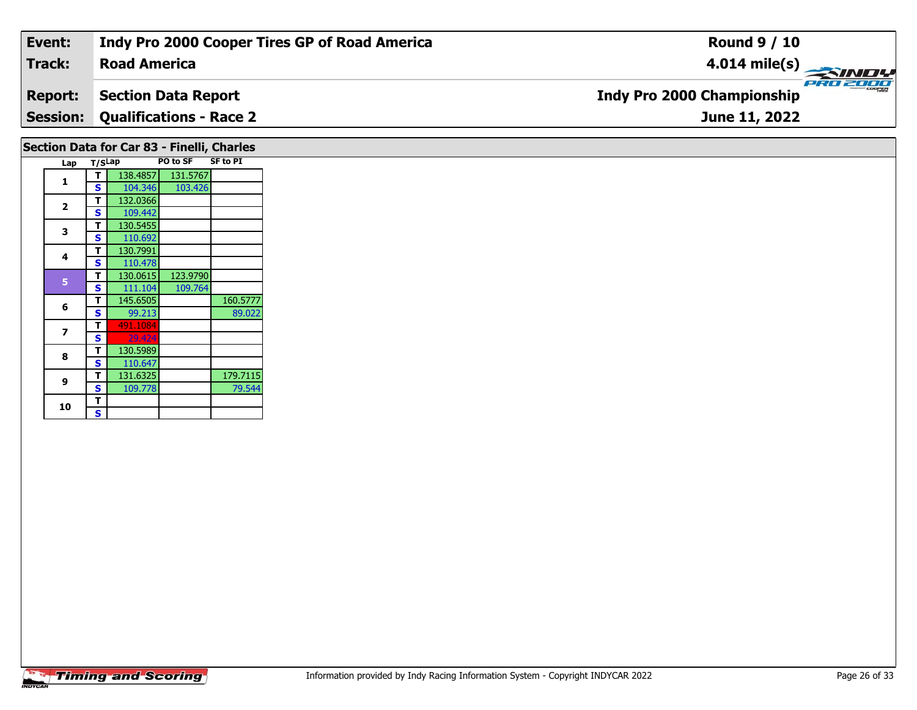| Event:          | Indy Pro 2000 Cooper Tires GP of Road America | <b>Round 9 / 10</b>                           |
|-----------------|-----------------------------------------------|-----------------------------------------------|
| <b>Track:</b>   | <b>Road America</b>                           | $4.014 \text{ mile(s)}$                       |
| <b>Report:</b>  | <b>Section Data Report</b>                    | PRO 2000<br><b>Indy Pro 2000 Championship</b> |
| <b>Session:</b> | <b>Qualifications - Race 2</b>                | June 11, 2022                                 |
|                 | Section Data for Car 83 - Finelli, Charles    |                                               |

| Lap          | T/SLap |          | PO to SF | <b>SF to PI</b> |
|--------------|--------|----------|----------|-----------------|
|              | т      | 138.4857 | 131.5767 |                 |
| 1            | S      | 104.346  | 103.426  |                 |
|              | т      | 132.0366 |          |                 |
| $\mathbf{2}$ | S      | 109.442  |          |                 |
|              | т      | 130.5455 |          |                 |
| 3            | S      | 110.692  |          |                 |
|              | т      | 130.7991 |          |                 |
| 4            | S      | 110.478  |          |                 |
| 5            | т      | 130.0615 | 123.9790 |                 |
|              | S      | 111.104  | 109.764  |                 |
| 6            | т      | 145.6505 |          | 160.5777        |
|              | S      | 99.213   |          | 89.022          |
| 7            | т      | 491.1084 |          |                 |
|              | S      | 29.424   |          |                 |
| 8            | т      | 130.5989 |          |                 |
|              | S      | 110.647  |          |                 |
| 9            | т      | 131.6325 |          | 179.7115        |
|              | S      | 109.778  |          | 79.544          |
| 10           | т      |          |          |                 |
|              | S      |          |          |                 |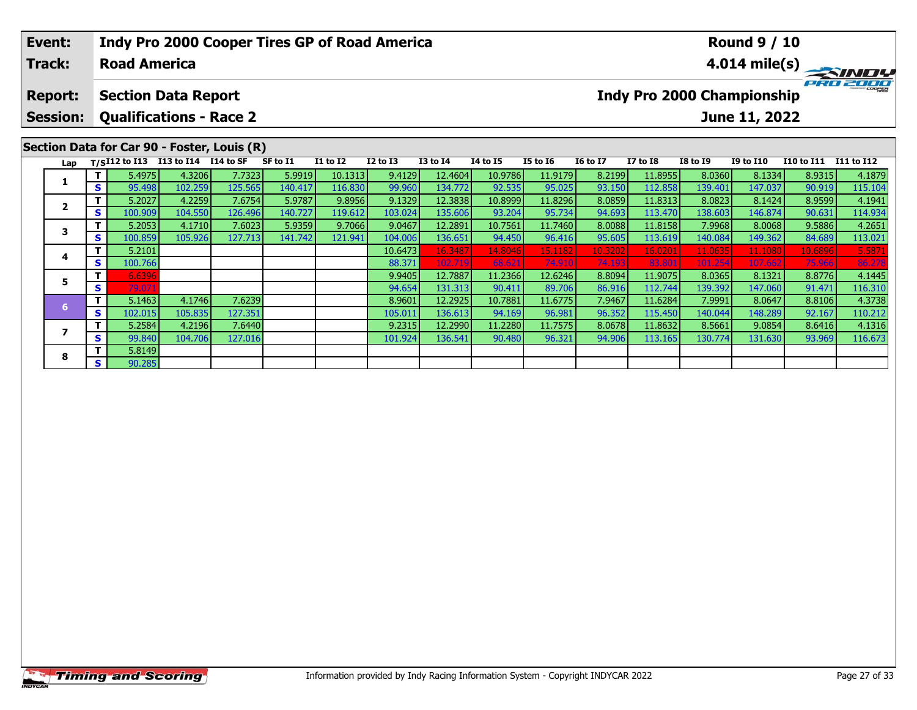| Event:                            |     |                     | Indy Pro 2000 Cooper Tires GP of Road America                                     |         |          |                 |                 | <b>Round 9 / 10</b> |                 |                 |                 |                 |                                   |                  |            |                         |
|-----------------------------------|-----|---------------------|-----------------------------------------------------------------------------------|---------|----------|-----------------|-----------------|---------------------|-----------------|-----------------|-----------------|-----------------|-----------------------------------|------------------|------------|-------------------------|
| <b>Track:</b>                     |     | <b>Road America</b> |                                                                                   |         |          |                 |                 |                     |                 |                 |                 |                 |                                   |                  |            | $4.014 \text{ mile(s)}$ |
| <b>Report:</b><br><b>Session:</b> |     |                     | <b>Section Data Report</b><br><b>Qualifications - Race 2</b>                      |         |          |                 |                 |                     |                 |                 |                 |                 | <b>Indy Pro 2000 Championship</b> | June 11, 2022    |            | PRO 2000                |
| Lap                               |     |                     | Section Data for Car 90 - Foster, Louis (R)<br>T/SI12 to I13 I13 to I14 I14 to SF |         | SF to I1 | <b>I1 to I2</b> | <b>I2 to I3</b> | <b>I3 to I4</b>     | <b>I4 to I5</b> | <b>I5 to 16</b> | <b>16 to 17</b> | <b>I7 to I8</b> | <b>I8 to I9</b>                   | <b>I9 to I10</b> | I10 to I11 | I11 to I12              |
|                                   |     | 5.4975              | 4.3206                                                                            | 7.7323  | 5.9919   | 10.1313         | 9.4129          | 12.4604             | 10.9786         | 11.9179         | 8.2199          | 11.8955         | 8.0360                            | 8.1334           | 8.9315     | 4.1879                  |
|                                   | S   | 95.498              | 102.259                                                                           | 125.565 | 140.417  | 116.830         | 99.960          | 134.772             | 92.535          | 95.025          | 93.150          | 112.858         | 139.401                           | 147.037          | 90.919     | 115.104                 |
| $\overline{2}$                    |     | 5.2027              | 4.2259                                                                            | 7.6754  | 5.9787   | 9.8956          | 9.1329          | 12.3838             | 10.8999         | 11.8296         | 8.0859          | 11.8313         | 8.0823                            | 8.1424           | 8.9599     | 4.1941                  |
|                                   | S   | 100.909             | 104.550                                                                           | 126.496 | 140.727  | 119.612         | 103.024         | 135.606             | 93.204          | 95.734          | 94.693          | 113.470         | 138.603                           | 146.874          | 90.631     | 114.934                 |
| 3                                 |     | 5.2053              | 4.1710                                                                            | 7.6023  | 5.9359   | 9.7066          | 9.0467          | 12.2891             | 10.7561         | 11.7460         | 8.0088          | 11.8158         | 7.9968                            | 8.0068           | 9.5886     | 4.2651                  |
|                                   | S I | 100.859             | 105.926                                                                           | 127.713 | 141.742  | 121.941         | 104.006         | 136.651             | 94.450          | 96.416          | 95.605          | 113.619         | 140.084                           | 149.362          | 84.689     | 113.021                 |
| 4                                 |     | 5.2101              |                                                                                   |         |          |                 | 10.6473         | 16.348              | 14.8046         | 15.1182         | 10.3202         | 16.0201         | 11.063                            | 11.1080          | 10.6896    | 5.587                   |
|                                   | S   | 100.766             |                                                                                   |         |          |                 | 88.371          | 102.719             | 68.621          | 74.910          | 74.193          | 83.801          | 101.254                           | 107.662          | 75.966     | 86.27                   |
| 5                                 |     | 6.6396              |                                                                                   |         |          |                 | 9.9405          | 12.7887             | 11.2366         | 12.6246         | 8.8094          | 11.9075         | 8.0365                            | 8.1321           | 8.8776     | 4.1445                  |
|                                   | S   | 79.071              |                                                                                   |         |          |                 | 94.654          | 131.313             | 90.411          | 89.706          | 86.916          | 112.744         | 139.392                           | 147.060          | 91.471     | 116.310                 |

**<sup>T</sup>** 5.1463 4.1746 7.6239 8.9601 12.2925 10.7881 11.6775 7.9467 11.6284 7.9991 8.0647 8.8106 4.3738 **<sup>S</sup>** 102.015 105.835 127.351 105.011 136.613 94.169 96.981 96.352 115.450 140.044 148.289 92.167 110.212

**<sup>T</sup>** 5.2584 4.2196 7.6440 9.2315 12.2990 11.2280 11.7575 8.0678 11.8632 8.5661 9.0854 8.6416 4.1316 **<sup>S</sup>** 99.840 104.706 127.016 101.924 136.541 90.480 96.321 94.906 113.165 130.774 131.630 93.969 116.673

**7**

**8**

**<sup>T</sup>** 5.8149 **<sup>S</sup>** 90.285

 $\frac{110.212}{4.1316}$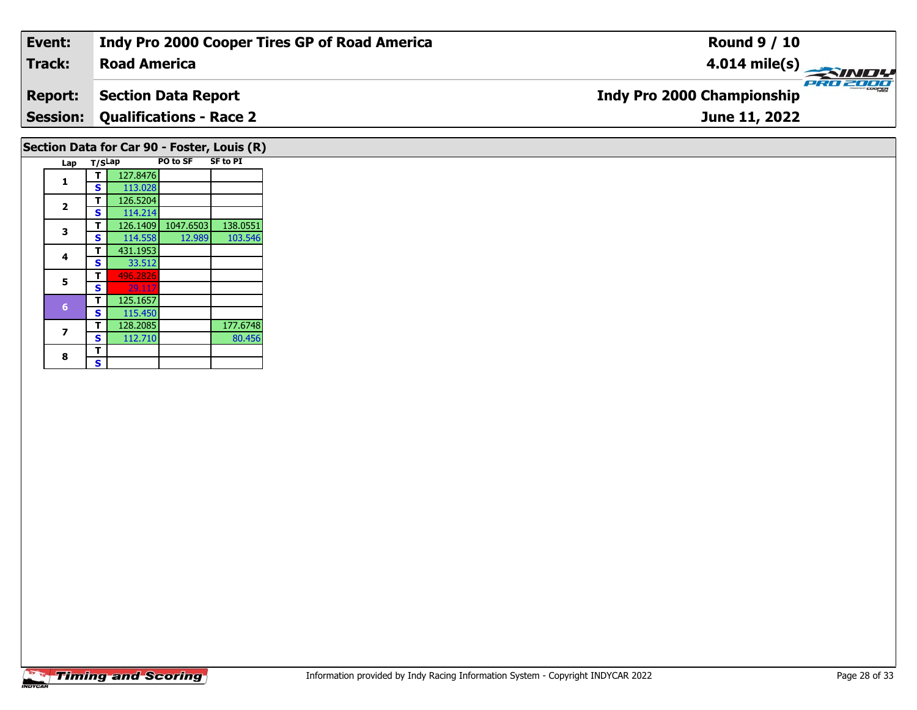| Event:         | Indy Pro 2000 Cooper Tires GP of Road America | <b>Round 9 / 10</b>                           |
|----------------|-----------------------------------------------|-----------------------------------------------|
| Track:         | <b>Road America</b>                           |                                               |
| <b>Report:</b> | Section Data Report                           | PRO 2000<br><b>Indy Pro 2000 Championship</b> |
|                | <b>Session: Qualifications - Race 2</b>       | June 11, 2022                                 |
|                |                                               |                                               |

### Lap T/S<sup>Lap</sup> PO to SF SF to PI **1 <sup>T</sup>** 127.8476 **<sup>S</sup>** 113.028**2 <sup>T</sup>** 126.5204 **<sup>S</sup>** 114.214 **<sup>T</sup>** 126.1409 1047.6503 138.0551 **<sup>S</sup>** 114.558 12.989 103.546**3**103.546 **4 <sup>T</sup>** 431.1953 **<sup>S</sup>** 33.51233.512 **5T** 496.282 125.1657 **<sup>T</sup>** 125.1657 **<sup>S</sup>** 115.450128.2085 **7T** 128.2085 117.6748<br>**S** 112.710 80.456 80.456 8  $\frac{1}{s}$

**Section Data for Car 90 - Foster, Louis (R)**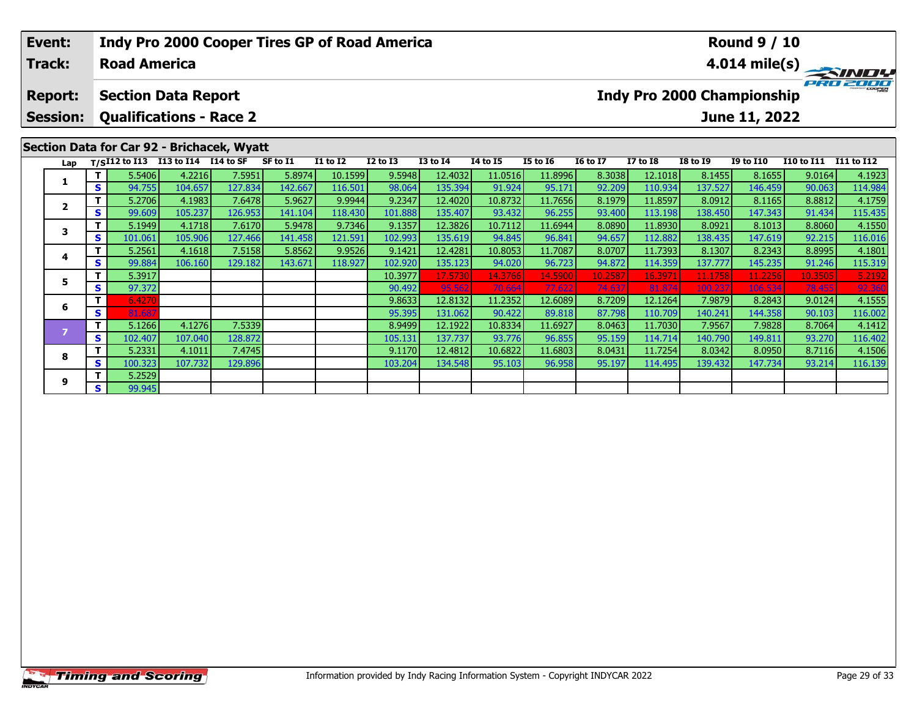| Event:<br>Track:                  |           | <b>Road America</b> |                                                              | Indy Pro 2000 Cooper Tires GP of Road America |                   |                    |                   |                     | <b>Round 9 / 10</b> |                   |                   |                                                                               |                    |                    |                   |                   |  |  |
|-----------------------------------|-----------|---------------------|--------------------------------------------------------------|-----------------------------------------------|-------------------|--------------------|-------------------|---------------------|---------------------|-------------------|-------------------|-------------------------------------------------------------------------------|--------------------|--------------------|-------------------|-------------------|--|--|
| <b>Report:</b><br><b>Session:</b> |           |                     | <b>Section Data Report</b><br><b>Qualifications - Race 2</b> |                                               |                   |                    |                   |                     |                     |                   |                   | $4.014 \text{ mile(s)}$<br><b>Indy Pro 2000 Championship</b><br>June 11, 2022 |                    |                    |                   |                   |  |  |
|                                   |           |                     | Lap T/SI12 to I13 I13 to I14 I14 to SF                       | Section Data for Car 92 - Brichacek, Wyatt    | SF to I1          | <b>I1 to I2</b>    | $I2$ to $I3$      | <b>I3 to I4</b>     | <b>I4 to I5</b>     | <b>I5 to 16</b>   | <b>16 to 17</b>   | <b>I7 to I8</b>                                                               | <b>I8 to I9</b>    | <b>I9 to I10</b>   | <b>I10 to I11</b> | I11 to I12        |  |  |
|                                   | T I<br>S. | 5.5406<br>94.755    | 4.2216<br>104.657                                            | 7.5951<br>127.834                             | 5.8974<br>142.667 | 10.1599<br>116.501 | 9.5948<br>98.064  | 12.4032<br>135.394  | 11.0516<br>91.924   | 11.8996<br>95.171 | 8.3038<br>92.209  | 12.1018<br>110.934                                                            | 8.1455<br>137.527  | 8.1655<br>146.459  | 9.0164<br>90.063  | 4.1923<br>114.984 |  |  |
| $\overline{2}$                    | S.        | 5.2706<br>99.609    | 4.1983<br>105.237                                            | 7.6478<br>126.953                             | 5.9627<br>141.104 | 9.9944<br>118.430  | 9.2347<br>101.888 | 12.4020<br>135.407  | 10.8732<br>93.432   | 11.7656<br>96.255 | 8.1979<br>93.400  | 11.8597<br>113.198                                                            | 8.0912<br>138.450  | 8.1165<br>147.343  | 8.8812<br>91.434  | 4.1759<br>115.435 |  |  |
| 3                                 | S         | 5.1949<br>101.061   | 4.1718<br>105.906                                            | 7.6170<br>127.466                             | 5.9478<br>141.458 | 9.7346<br>121.591  | 9.1357<br>102.993 | 12.3826<br>135.619  | 10.7112<br>94.845   | 11.6944<br>96.841 | 8.0890<br>94.657  | 11.8930<br>112.882                                                            | 8.0921<br>138.435  | 8.1013<br>147.619  | 8.8060<br>92.215  | 4.1550<br>116.016 |  |  |
| 4                                 | S I       | 5.2561<br>99.884    | 4.1618<br>106.160                                            | 7.5158<br>129.182                             | 5.8562<br>143.671 | 9.9526<br>118.927  | 9.1421<br>102.920 | 12.4281<br>135.123  | 10.8053<br>94.020   | 11.7087<br>96.723 | 8.0707<br>94.872  | 11.7393<br>114.359                                                            | 8.1307<br>137.777  | 8.2343<br>145.235  | 8.8995<br>91.246  | 4.1801<br>115.319 |  |  |
| 5                                 | S.        | 5.3917<br>97.372    |                                                              |                                               |                   |                    | 10.3977<br>90.492 | 17.5730<br>95.562   | 14.3766<br>70.664   | 14.5900<br>77.622 | 10.2587<br>74.637 | 16.3971<br>81.874                                                             | 11.1758<br>100.237 | 11.2256<br>106.534 | 10.3505<br>78.455 | 5.2192<br>92.36   |  |  |
| 6                                 | S.        | 6.4270<br>81.687    |                                                              |                                               |                   |                    | 9.8633<br>95.395  | 12.8132<br>131.0621 | 11.2352<br>90.422   | 12.6089<br>89.818 | 8.7209<br>87.798  | 12.1264<br>110.709                                                            | 7.9879<br>140.2411 | 8.2843<br>144.358  | 9.0124<br>90.103  | 4.1555<br>116.002 |  |  |

**<sup>T</sup>** 5.1266 4.1276 7.5339 8.9499 12.1922 10.8334 11.6927 8.0463 11.7030 7.9567 7.9828 8.7064 4.1412 **<sup>S</sup>** 102.407 107.040 128.872 105.131 137.737 93.776 96.855 95.159 114.714 140.790 149.811 93.270 116.402

**<sup>T</sup>** 5.2331 4.1011 7.4745 9.1170 12.4812 10.6822 11.6803 8.0431 11.7254 8.0342 8.0950 8.7116 4.1506 **<sup>S</sup>** 100.323 107.732 129.896 103.204 134.548 95.103 96.958 95.197 114.495 139.432 147.734 93.214 116.139

**8**

**9**

**<sup>T</sup>** 5.2529 **<sup>S</sup>** 99.945

 $\frac{116.002}{4.1412}$ 

116.402<br>4.1506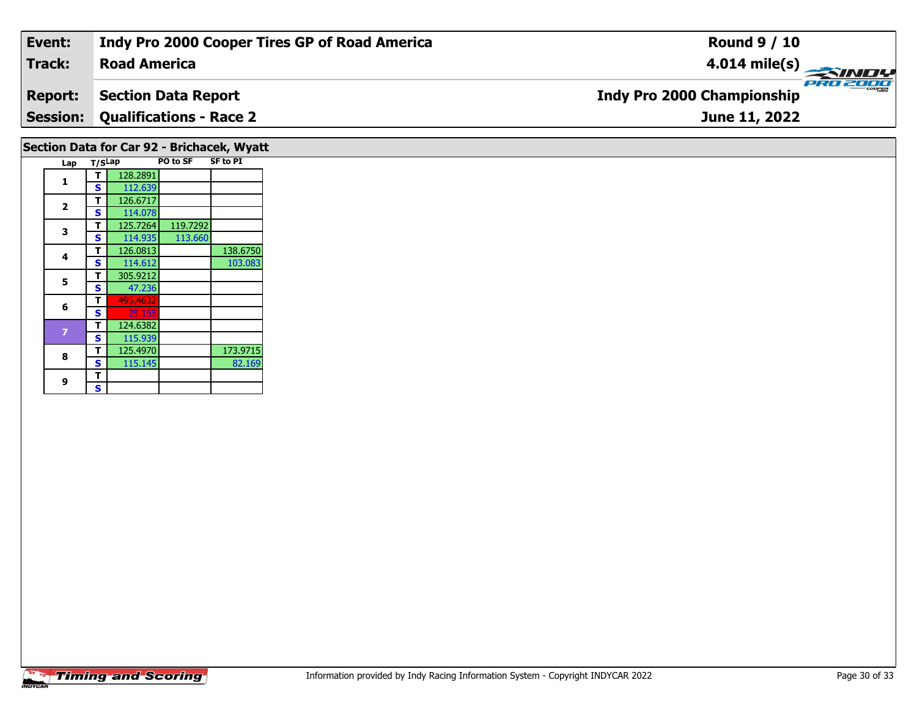| Event:         | Indy Pro 2000 Cooper Tires GP of Road America | <b>Round 9 / 10</b>                           |
|----------------|-----------------------------------------------|-----------------------------------------------|
| Track:         | <b>Road America</b>                           | $4.014 \text{ mile(s)}$                       |
| <b>Report:</b> | Section Data Report                           | PRO 2000<br><b>Indy Pro 2000 Championship</b> |
|                | <b>Session: Qualifications - Race 2</b>       | June 11, 2022                                 |
|                |                                               |                                               |

| Section Data for Car 92 - Brichacek, Wyatt |                         |        |          |          |                 |  |  |
|--------------------------------------------|-------------------------|--------|----------|----------|-----------------|--|--|
|                                            | Lap                     | T/SLap |          | PO to SF | <b>SF to PI</b> |  |  |
|                                            |                         | т      | 128.2891 |          |                 |  |  |
|                                            | 1                       | S      | 112.639  |          |                 |  |  |
|                                            |                         | т      | 126.6717 |          |                 |  |  |
|                                            | $\overline{\mathbf{2}}$ | S      | 114.078  |          |                 |  |  |
|                                            |                         | т      | 125.7264 | 119.7292 |                 |  |  |
|                                            | 3                       | S      | 114.935  | 113.660  |                 |  |  |
|                                            | 4                       | т      | 126.0813 |          | 138.6750        |  |  |
|                                            |                         | S      | 114.612  |          | 103.083         |  |  |
|                                            | 5                       | т      | 305.9212 |          |                 |  |  |
|                                            |                         | S      | 47.236   |          |                 |  |  |
|                                            | 6                       | т      | 495.4632 |          |                 |  |  |
|                                            |                         | S      | 29.165   |          |                 |  |  |
|                                            | 7                       | т      | 124.6382 |          |                 |  |  |
|                                            |                         | S      | 115.939  |          |                 |  |  |
|                                            | 8                       | т      | 125.4970 |          | 173.9715        |  |  |
|                                            |                         | S      | 115.145  |          | 82.169          |  |  |
|                                            | 9                       | т      |          |          |                 |  |  |
|                                            |                         | S      |          |          |                 |  |  |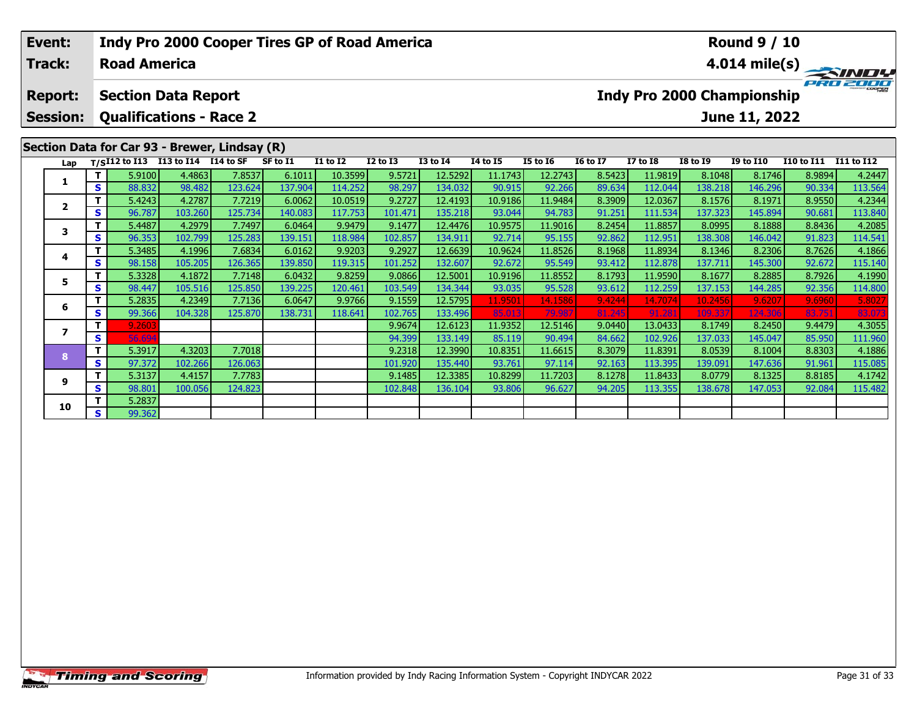|                | Event:<br><b>Track:</b>  |          | <b>Indy Pro 2000 Cooper Tires GP of Road America</b><br><b>Road America</b> |                                               |           |          |                 |                   |                    |                   |                   |                  | <b>Round 9 / 10</b><br>$\frac{4.014 \text{ mile(s)}}{\frac{1}{\sqrt{10}} \cdot \frac{1}{\sqrt{10}}}{\frac{1}{\sqrt{10}} \cdot \frac{1}{\sqrt{10}}}{\frac{1}{\sqrt{10}}}}$ |                                   |                   |                       |                   |
|----------------|--------------------------|----------|-----------------------------------------------------------------------------|-----------------------------------------------|-----------|----------|-----------------|-------------------|--------------------|-------------------|-------------------|------------------|---------------------------------------------------------------------------------------------------------------------------------------------------------------------------|-----------------------------------|-------------------|-----------------------|-------------------|
| <b>Report:</b> |                          |          | <b>Section Data Report</b>                                                  |                                               |           |          |                 |                   |                    |                   |                   |                  |                                                                                                                                                                           | <b>Indy Pro 2000 Championship</b> |                   |                       |                   |
|                | <b>Session:</b>          |          |                                                                             | <b>Qualifications - Race 2</b>                |           |          |                 |                   |                    |                   |                   |                  |                                                                                                                                                                           |                                   | June 11, 2022     |                       |                   |
|                |                          |          |                                                                             | Section Data for Car 93 - Brewer, Lindsay (R) |           |          |                 |                   |                    |                   |                   |                  |                                                                                                                                                                           |                                   |                   |                       |                   |
|                | Lap                      |          | $T/SI12$ to $I13$                                                           | <b>I13 to I14</b>                             | I14 to SF | SF to I1 | <b>I1 to I2</b> | <b>I2 to I3</b>   | <b>I3 to I4</b>    | 14 to 15          | <b>I5 to 16</b>   | <b>16 to 17</b>  | <b>I7 to I8</b>                                                                                                                                                           | <b>I8 to I9</b>                   | <b>I9 to I10</b>  | I10 to I11 I11 to I12 |                   |
|                | 1                        |          | 5.9100                                                                      | 4.4863                                        | 7.8537    | 6.1011   | 10.3599         | 9.5721            | 12.5292            | 11.1743           | 12.2743           | 8.5423           | 11.9819                                                                                                                                                                   | 8.1048                            | 8.1746            | 8.9894                | 4.2447            |
|                |                          | S.       | 88.832                                                                      | 98.482                                        | 123.624   | 137.904  | 114.252         | 98.297            | 134.032            | 90.915            | 92.266            | 89.634           | 112.044                                                                                                                                                                   | 138.218                           | 146.296           | 90.334                | 113.564           |
|                | $\mathbf{2}$             |          | 5.4243                                                                      | 4.2787                                        | 7.7219    | 6.0062   | 10.0519         | 9.2727            | 12.4193            | 10.9186           | 11.9484           | 8.3909           | 12.0367                                                                                                                                                                   | 8.1576                            | 8.1971            | 8.9550                | 4.2344            |
|                |                          | S        | 96.787                                                                      | 103.260                                       | 125.734   | 140.083  | 117.753         | 101.471           | 135.218            | 93.044            | 94.783            | 91.251           | 111.534                                                                                                                                                                   | 137.323                           | 145.894           | 90.681                | 113.840           |
|                | 3                        | т        | 5.4487                                                                      | 4.2979                                        | 7.7497    | 6.0464   | 9.9479          | 9.1477            | 12.4476            | 10.9575           | 11.9016           | 8.2454           | 11.8857                                                                                                                                                                   | 8.0995                            | 8.1888            | 8.8436                | 4.2085            |
|                |                          | S        | 96.353                                                                      | 102.799                                       | 125.283   | 139.151  | 118.984         | 102.857           | 134.911            | 92.714            | 95.155            | 92.862           | 112.951                                                                                                                                                                   | 138.308                           | 146.042           | 91.823                | 114.541           |
|                | 4                        | Τ.       | 5.3485                                                                      | 4.1996                                        | 7.6834    | 6.0162   | 9.9203          | 9.2927            | 12.6639            | 10.9624           | 11.8526           | 8.1968           | 11.8934                                                                                                                                                                   | 8.1346                            | 8.2306            | 8.7626                | 4.1866            |
|                |                          | S.       | 98.158                                                                      | 105.205                                       | 126.365   | 139.850  | 119.315         | 101.252           | 132.607            | 92.672            | 95.549            | 93.412           | 112.878                                                                                                                                                                   | 137.711                           | 145.300           | 92.672                | 115.140           |
|                | 5                        | T.       | 5.3328                                                                      | 4.1872                                        | 7.7148    | 6.0432   | 9.8259          | 9.0866            | 12.5001            | 10.9196           | 11.8552           | 8.1793           | 11.9590                                                                                                                                                                   | 8.1677                            | 8.2885            | 8.7926                | 4.1990            |
|                |                          | S        | 98.447                                                                      | 105.516                                       | 125.850   | 139.225  | 120.461         | 103.549           | 134.344            | 93.035            | 95.528            | 93.612           | 112.259                                                                                                                                                                   | 137.153                           | 144.285           | 92.356                | 114.800           |
|                | 6                        | Τ.<br>S. | 5.2835                                                                      | 4.2349                                        | 7.7136    | 6.0647   | 9.9766          | 9.1559            | 12.5795            | 11.9501           | 14.1586           | 9.4244           | 14.7074                                                                                                                                                                   | 10.2456                           | 9.6207            | 9.6960                | 5.8027            |
|                |                          |          | 99.366                                                                      | 104.328                                       | 125.870   | 138.731  | 118.641         | 102.765           | 133.496            | 85.013            | 79.987            | 81.245           | 91.281                                                                                                                                                                    | 109.337                           | 124.306           | 83.751                | 83.07             |
|                | $\overline{\phantom{a}}$ | т<br>S   | 9.2603<br>56.694                                                            |                                               |           |          |                 | 9.9674            | 12.6123            | 11.9352<br>85.119 | 12.5146           | 9.0440           | 13.0433                                                                                                                                                                   | 8.1749<br>137.033                 | 8.2450            | 9.4479                | 4.3055            |
|                |                          |          |                                                                             |                                               | 7.7018    |          |                 | 94.399            | 133.149<br>12.3990 | 10.8351           | 90.494<br>11.6615 | 84.662<br>8.3079 | 102.926                                                                                                                                                                   |                                   | 145.047<br>8.1004 | 85.950                | 111.960           |
|                | 8                        | S.       | 5.3917<br>97.372                                                            | 4.3203<br>102.266                             | 126.063   |          |                 | 9.2318<br>101.920 | 135.440            | 93.761            | 97.114            | 92.163           | 11.8391<br>113.395                                                                                                                                                        | 8.0539<br>139.091                 | 147.636           | 8.8303<br>91.961      | 4.1886<br>115.085 |

**<sup>T</sup>** 5.3137 4.4157 7.7783 9.1485 12.3385 10.8299 11.7203 8.1278 11.8433 8.0779 8.1325 8.8185 4.1742 **<sup>S</sup>** 98.801 100.056 124.823 102.848 136.104 93.806 96.627 94.205 113.355 138.678 147.053 92.084 115.482

**<sup>T</sup>** 5.2837 **<sup>S</sup>** 99.362

**9**

**10**

115.085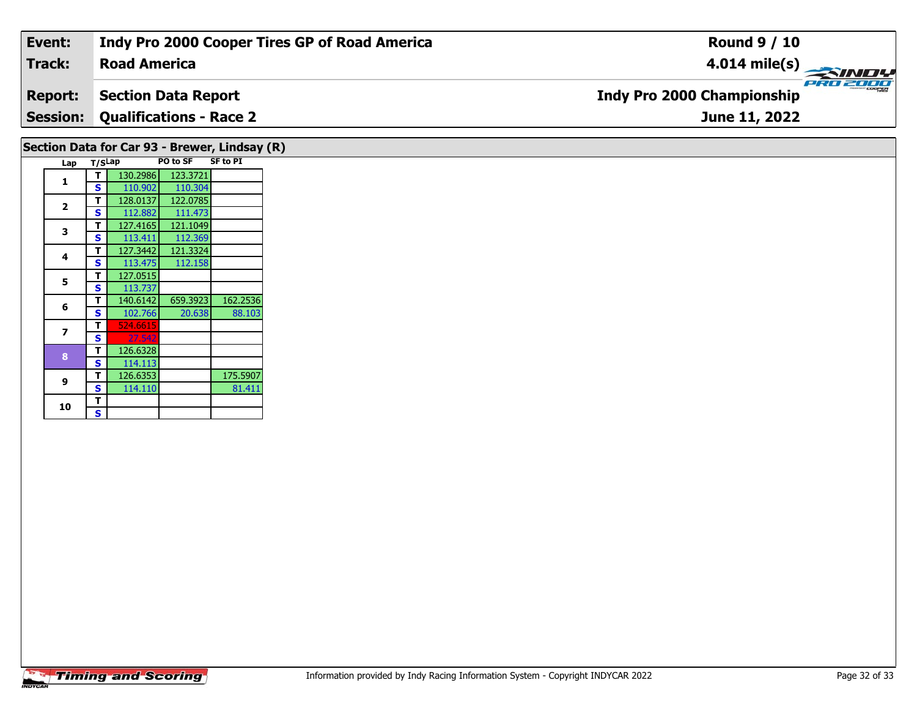| Event:                                        | <b>Indy Pro 2000 Cooper Tires GP of Road America</b> | <b>Round 9 / 10</b>                           |  |  |  |  |  |
|-----------------------------------------------|------------------------------------------------------|-----------------------------------------------|--|--|--|--|--|
| <b>Track:</b>                                 | <b>Road America</b>                                  | 4.014 mile(s)                                 |  |  |  |  |  |
| <b>Report:</b>                                | <b>Section Data Report</b>                           | PRO 2000<br><b>Indy Pro 2000 Championship</b> |  |  |  |  |  |
|                                               | <b>Session: Qualifications - Race 2</b>              | June 11, 2022                                 |  |  |  |  |  |
| Section Data for Car 93 - Brewer, Lindsay (R) |                                                      |                                               |  |  |  |  |  |

| Lap | T/SLap |          | PO to SF | <b>SF to PI</b> |  |  |
|-----|--------|----------|----------|-----------------|--|--|
| 1   | т      | 130.2986 | 123.3721 |                 |  |  |
|     | S      | 110.902  | 110.304  |                 |  |  |
| 2   | т      | 128.0137 | 122.0785 |                 |  |  |
|     | S      | 112.882  | 111.473  |                 |  |  |
| 3   | т      | 127.4165 | 121.1049 |                 |  |  |
|     | S      | 113.411  | 112.369  |                 |  |  |
| 4   | т      | 127.3442 | 121.3324 |                 |  |  |
|     | S      | 113.475  | 112.158  |                 |  |  |
| 5   | т      | 127.0515 |          |                 |  |  |
|     | S      | 113.737  |          |                 |  |  |
| 6   | т      | 140.6142 | 659.3923 | 162.2536        |  |  |
|     | S      | 102.766  | 20.638   | 88.103          |  |  |
| 7   | т      | 524.6615 |          |                 |  |  |
|     | S      | 27.542   |          |                 |  |  |
| 8   | т      | 126.6328 |          |                 |  |  |
|     | S      | 114.113  |          |                 |  |  |
| 9   | т      | 126.6353 |          | 175.5907        |  |  |
|     | S      | 114.110  |          | 81.411          |  |  |
| 10  | т      |          |          |                 |  |  |
|     | S      |          |          |                 |  |  |